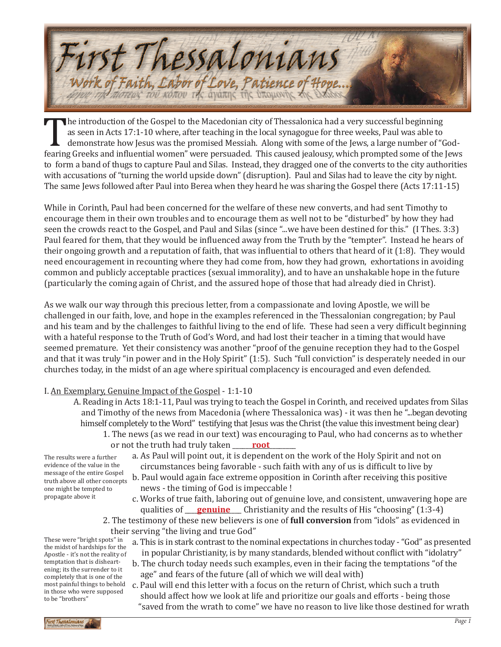

The introduction of the Gospel to the Macedonian city of Thessalonica had a very successful beginning<br>as seen in Acts 17:1-10 where, after teaching in the local synagogue for three weeks, Paul was able to<br>demonstrate how J as seen in Acts 17:1-10 where, after teaching in the local synagogue for three weeks, Paul was able to demonstrate how Jesus was the promised Messiah. Along with some of the Jews, a large number of "Godfearing Greeks and influential women" were persuaded. This caused jealousy, which prompted some of the Jews to form a band of thugs to capture Paul and Silas. Instead, they dragged one of the converts to the city authorities with accusations of "turning the world upside down" (disruption). Paul and Silas had to leave the city by night. The same Jews followed after Paul into Berea when they heard he was sharing the Gospel there (Acts 17:11-15)

While in Corinth, Paul had been concerned for the welfare of these new converts, and had sent Timothy to encourage them in their own troubles and to encourage them as well not to be "disturbed" by how they had seen the crowds react to the Gospel, and Paul and Silas (since "...we have been destined for this." (I Thes. 3:3) Paul feared for them, that they would be influenced away from the Truth by the "tempter". Instead he hears of their ongoing growth and a reputation of faith, that was influential to others that heard of it (1:8). They would need encouragement in recounting where they had come from, how they had grown, exhortations in avoiding common and publicly acceptable practices (sexual immorality), and to have an unshakable hope in the future (particularly the coming again of Christ, and the assured hope of those that had already died in Christ).

As we walk our way through this precious letter, from a compassionate and loving Apostle, we will be challenged in our faith, love, and hope in the examples referenced in the Thessalonian congregation; by Paul and his team and by the challenges to faithful living to the end of life. These had seen a very difficult beginning with a hateful response to the Truth of God's Word, and had lost their teacher in a timing that would have seemed premature. Yet their consistency was another "proof of the genuine reception they had to the Gospel and that it was truly "in power and in the Holy Spirit" (1:5). Such "full conviction" is desperately needed in our churches today, in the midst of an age where spiritual complacency is encouraged and even defended.

# I. An Exemplary, Genuine Impact of the Gospel - 1:1-10

- A. Reading in Acts 18:1-11, Paul was trying to teach the Gospel in Corinth, and received updates from Silas and Timothy of the news from Macedonia (where Thessalonica was) - it was then he "...began devoting himself completely to the Word" testifying that Jesus was the Christ (the value this investment being clear)
- 1. The news (as we read in our text) was encouraging to Paul, who had concerns as to whether or not the truth had truly taken **\_\_\_\_\_\_<u>root</u>** \_\_\_\_\_

The results were a further evidence of the value in the message of the entire Gospel truth above all other concepts one might be tempted to propagate above it

- a. As Paul will point out, it is dependent on the work of the Holy Spirit and not on circumstances being favorable - such faith with any of us is difficult to live by
- b. Paul would again face extreme opposition in Corinth after receiving this positive news - the timing of God is impeccable !
- c. Works of true faith, laboring out of genuine love, and consistent, unwavering hope are qualities of <u>genuine</u> Christianity and the results of His "choosing" (1:3-4)
- 2. The testimony of these new believers is one of **full conversion** from "idols" as evidenced in their serving "the living and true God"
	- a. This is in stark contrast to the nominal expectations in churches today "God" as presented in popular Christianity, is by many standards, blended without conflict with "idolatry"
	- b. The church today needs such examples, even in their facing the temptations "of the age" and fears of the future (all of which we will deal with)
	- c. Paul will end this letter with a focus on the return of Christ, which such a truth should affect how we look at life and prioritize our goals and efforts - being those "saved from the wrath to come" we have no reason to live like those destined for wrath

These were "bright spots" in the midst of hardships for the Apostle - it's not the reality of temptation that is disheartening; its the surrender to it completely that is one of the most painful things to behold in those who were supposed to be "brothers"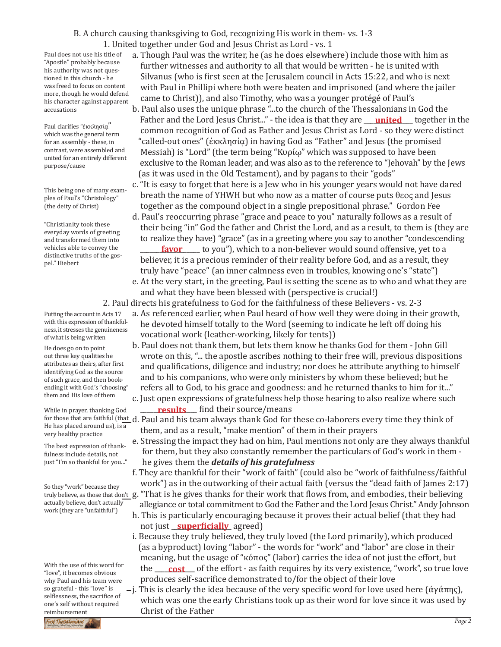## B. A church causing thanksgiving to God, recognizing His work in them- vs. 1-3

1. United together under God and Jesus Christ as Lord - vs. 1

Paul does not use his title of "Apostle" probably because his authority was not questioned in this church - he was freed to focus on content more, though he would defend his character against apparent accusations

Paul clarifies "έκκλησία" which was the general term for an assembly - these, in contrast, were assembled and united for an entirely different purpose/cause

This being one of many examples of Paul's "Christology" (the deity of Christ)

"Christianity took these everyday words of greeting and transformed them into vehicles able to convey the distinctive truths of the gospel." Hiebert

Putting the account in Acts 17 with this expression of thankfulness, it stresses the genuineness of what is being written

He does go on to point out three key qualities he attributes as theirs, after first identifying God as the source of such grace, and then bookending it with God's "choosing" them and His love of them

While in prayer, thanking God He has placed around us), is a very healthy practice

The best expression of thankfulness include details, not just "I'm so thankful for you..."

So they "work" because they actually believe, don't actually work (they are "unfaithful")

With the use of this word for "love", it becomes obvious why Paul and his team were so grateful - this "love" is selflessness, the sacrifice of one's self without required reimbursement

a. Though Paul was the writer, he (as he does elsewhere) include those with him as further witnesses and authority to all that would be written - he is united with Silvanus (who is first seen at the Jerusalem council in Acts 15:22, and who is next with Paul in Phillipi where both were beaten and imprisoned (and where the jailer came to Christ)), and also Timothy, who was a younger protégé of Paul's

- b. Paul also uses the unique phrase "...to the church of the Thessalonians in God the Father and the Lord Jesus Christ..." - the idea is that they are <u>\_\_\_**united**\_\_\_</u> together in the common recognition of God as Father and Jesus Christ as Lord - so they were distinct "called-out ones" (ἐκκλησίᾳ) in having God as "Father" and Jesus (the promised Messiah) is "Lord" (the term being "Κυρίῳ" which was supposed to have been exclusive to the Roman leader, and was also as to the reference to "Jehovah" by the Jews (as it was used in the Old Testament), and by pagans to their "gods"
- c. "It is easy to forget that here is a Jew who in his younger years would not have dared breath the name of YHWH but who now as a matter of course puts  $\theta$  and Jesus together as the compound object in a single prepositional phrase." Gordon Fee
- d. Paul's reoccurring phrase "grace and peace to you" naturally follows as a result of their being "in" God the father and Christ the Lord, and as a result, to them is (they are to realize they have) "grace" (as in a greeting where you say to another "condescending \_\_\_\_\_\_\_\_\_\_\_\_\_\_\_\_\_\_ to you"), which to a non-believer would sound offensive, yet to a **favor** believer, it is a precious reminder of their reality before God, and as a result, they
- truly have "peace" (an inner calmness even in troubles, knowing one's "state") e. At the very start, in the greeting, Paul is setting the scene as to who and what they are
- and what they have been blessed with (perspective is crucial!)

2. Paul directs his gratefulness to God for the faithfulness of these Believers - vs. 2-3

- a. As referenced earlier, when Paul heard of how well they were doing in their growth, he devoted himself totally to the Word (seeming to indicate he left off doing his vocational work (leather-working, likely for tents))
- b. Paul does not thank them, but lets them know he thanks God for them John Gill wrote on this, "... the apostle ascribes nothing to their free will, previous dispositions and qualifications, diligence and industry; nor does he attribute anything to himself and to his companions, who were only ministers by whom these believed; but he refers all to God, to his grace and goodness: and he returned thanks to him for it..."
- c. Just open expressions of gratefulness help those hearing to also realize where such \_\_\_\_\_\_\_\_\_\_\_\_\_\_\_\_\_ find their source/means **results**

for those that are faithful (th<u>at d</u>. Paul and his team always thank God for these co-laborers every time they think of<br>He has placed around us) is a them, and as a result, "make mention" of them in their prayers

- e. Stressing the impact they had on him, Paul mentions not only are they always thankful for them, but they also constantly remember the particulars of God's work in them he gives them the *details of his gratefulness*
- f. They are thankful for their "work of faith" (could also be "work of faithfulness/faithful work") as in the outworking of their actual faith (versus the "dead faith of James 2:17)
- truly believe, as those that do<u>n't g</u>. "That is he gives thanks for their work that flows from, and embodies, their believing allegiance or total commitment to God the Father and the Lord Jesus Christ." Andy Johnson
	- h. This is particularly encouraging because it proves their actual belief (that they had not just <u>\_\_**superficially**\_</u> agreed)
	- i. Because they truly believed, they truly loved (the Lord primarily), which produced (as a byproduct) loving "labor" - the words for "work" and "labor" are close in their meaning, but the usage of "κόπος" (labor) carries the idea of not just the effort, but the <u>cost</u> of the effort - as faith requires by its very existence, "work", so true love produces self-sacrifice demonstrated to/for the object of their love
- $-$ j. This is clearly the idea because of the very specific word for love used here (άγάπης), which was one the early Christians took up as their word for love since it was used by **Christ of the Father**<br>First Thessalonians Former Christ of the Father

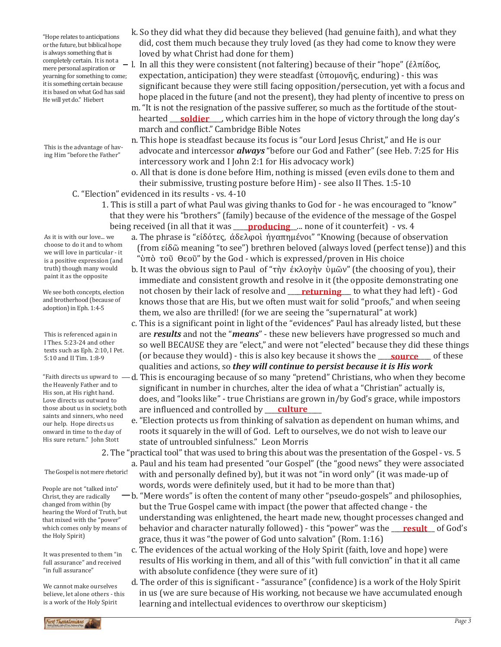"Hope relates to anticipations or the future, but biblical hope is always something that is completely certain. It is not a mere personal aspiration or yearning for something to come; it is something certain because it is based on what God has said He will yet do." Hiebert

This is the advantage of having Him "before the Father"

As it is with our love... we choose to do it and to whom we will love in particular - it is a positive expression (and truth) though many would

We see both concepts, election and brotherhood (because of adoption) in Eph. 1:4-5

paint it as the opposite

This is referenced again in I Thes. 5:23-24 and other texts such as Eph. 2:10, I Pet. 5:10 and II Tim. 1:8-9

the Heavenly Father and to His son, at His right hand. Love directs us outward to those about us in society, both saints and sinners, who need our help. Hope directs us onward in time to the day of His sure return." John Stott

The Gospel is not mere rhetoric!

People are not "talked into" Christ, they are radically changed from within (by hearing the Word of Truth, but that mixed with the "power" which comes only by means of the Holy Spirit)

It was presented to them "in full assurance" and received "in full assurance"

We cannot make ourselves believe, let alone others - this is a work of the Holy Spirit

- k. So they did what they did because they believed (had genuine faith), and what they did, cost them much because they truly loved (as they had come to know they were loved by what Christ had done for them)
- l. In all this they were consistent (not faltering) because of their "hope" (ἐλπίδος, expectation, anticipation) they were steadfast (ὑπομονῆς, enduring) - this was significant because they were still facing opposition/persecution, yet with a focus and hope placed in the future (and not the present), they had plenty of incentive to press on
- m. "It is not the resignation of the passive sufferer, so much as the fortitude of the stout hearted <u>soldier</u> bushich carries him in the hope of victory through the long day's march and conflict." Cambridge Bible Notes
	- n. This hope is steadfast because its focus is "our Lord Jesus Christ," and He is our advocate and intercessor *always* "before our God and Father" (see Heb. 7:25 for His intercessory work and I John 2:1 for His advocacy work)
	- o. All that is done is done before Him, nothing is missed (even evils done to them and their submissive, trusting posture before Him) - see also II Thes. 1:5-10
	- C. "Election" evidenced in its results vs. 4-10
		- 1. This is still a part of what Paul was giving thanks to God for he was encouraged to "know" that they were his "brothers" (family) because of the evidence of the message of the Gospel being received (in all that it was <u>producing</u> ... none of it counterfeit) - vs. 4
			- a. The phrase is "εἰδότες, ἀδελφοὶ ἠγαπημένοι" "Knowing (because of observation (from εἰδῶ meaning "to see") brethren beloved (always loved (perfect tense)) and this "ὑπὸ τοῦ Θεοῦ" by the God - which is expressed/proven in His choice
			- b. It was the obvious sign to Paul of "τὴν ἐκλογὴν ὑμῶν" (the choosing of you), their immediate and consistent growth and resolve in it (the opposite demonstrating one not chosen by their lack of resolve and **\_\_\_<u>returning\_\_\_</u> to** what they had left) - God knows those that are His, but we often must wait for solid "proofs," and when seeing them, we also are thrilled! (for we are seeing the "supernatural" at work)
			- c. This is a significant point in light of the "evidences" Paul has already listed, but these are *results* and not the "*means*" - these new believers have progressed so much and so well BECAUSE they are "elect," and were not "elected" because they did these things (or because they would) - this is also key because it shows the <u>source</u> of these qualities and actions, so *they will continue to persist because it is His work*
- "Faith directs us upward to d. This is encouraging because of so many "pretend" Christians, who when they become<br>the Usurally Estherand to significant in number in churches, alter the idea of what a "Christian" actually is, does, and "looks like" - true Christians are grown in/by God's grace, while impostors are influenced and controlled by <u>culture</u>
	- e. "Election protects us from thinking of salvation as dependent on human whims, and roots it squarely in the will of God. Left to ourselves, we do not wish to leave our state of untroubled sinfulness." Leon Morris

2. The "practical tool" that was used to bring this about was the presentation of the Gospel - vs. 5 a. Paul and his team had presented "our Gospel" (the "good news" they were associated

- with and personally defined by), but it was not "in word only" (it was made-up of words, words were definitely used, but it had to be more than that)
- b. "Mere words" is often the content of many other "pseudo-gospels" and philosophies, but the True Gospel came with impact (the power that affected change - the understanding was enlightened, the heart made new, thought processes changed and behavior and character naturally followed) - this "power" was the <u>\_\_**result\_\_**</u> of God's grace, thus it was "the power of God unto salvation" (Rom. 1:16)
	- c. The evidences of the actual working of the Holy Spirit (faith, love and hope) were results of His working in them, and all of this "with full conviction" in that it all came with absolute confidence (they were sure of it)
	- d. The order of this is significant "assurance" (confidence) is a work of the Holy Spirit in us (we are sure because of His working, not because we have accumulated enough learning and intellectual evidences to overthrow our skepticism)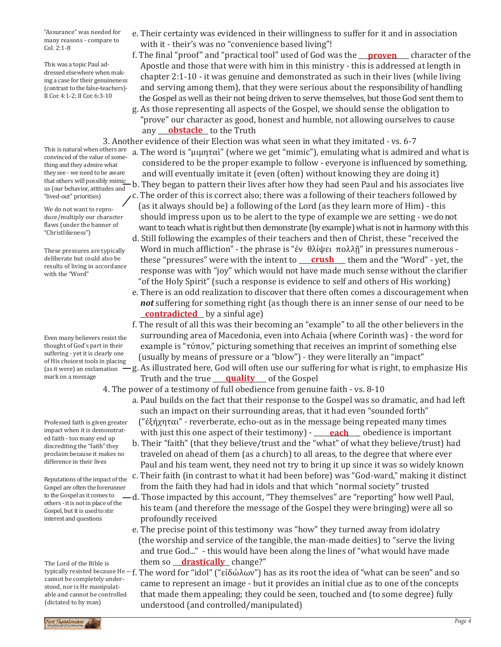"Assurance" was needed for many reasons - compare to Col. 2:1-8

This was a topic Paul addressed elsewhere when making a case for their genuineness (contrast to the false-teachers)- II Cor. 4:1-2; II Cor. 6:3-10

This is natural when others are convinced of the value of something and they admire what they see - we need to be aware us (our behavior, attitudes and "lived-out" priorities)

We do not want to reproduce/multiply our character flaws (under the banner of "Christlikeness")

These pressures are typically deliberate but could also be results of living in accordance with the "Word"

Even many believers resist the thought of God's part in their suffering - yet it is clearly one of His choicest tools in placing (as it were) an exclamation mark on a message

Professed faith is given greater impact when it is demonstrated faith - too many end up discrediting the "faith" they proclaim because it makes no difference in their lives

Reputations of the impact of the Gospel are often the forerunner to the Gospel as it comes to others - it is not in place of the Gospel, but it is used to stir interest and questions

The Lord of the Bible is cannot be completely understood, nor is He manipulatable and cannot be controlled (dictated to by man)

- e. Their certainty was evidenced in their willingness to suffer for it and in association with it - their's was no "convenience based living"!
- f. The final "proof" and "practical tool" used of God was the <u>\_\_**proven** \_\_</u> character of the Apostle and those that were with him in this ministry - this is addressed at length in chapter 2:1-10 - it was genuine and demonstrated as such in their lives (while living and serving among them), that they were serious about the responsibility of handling the Gospel as well as their not being driven to serve themselves, but those God sent them to
- g. As those representing all aspects of the Gospel, we should sense the obligation to "prove" our character as good, honest and humble, not allowing ourselves to cause any **obstacle** to the Truth

3. Another evidence of their Election was what seen in what they imitated - vs. 6-7

- a. The word is "μιμηταὶ" (where we get "mimic"), emulating what is admired and what is considered to be the proper example to follow - everyone is influenced by something, and will eventually imitate it (even (often) without knowing they are doing it)
- that others will possibly mimi<u>c </u>b. They began to pattern their lives after how they had seen Paul and his associates live<br>us four behavior, attitudes and c. The order of this is correct also; there was a following of their teachers followed by (as it always should be) a following of the Lord (as they learn more of Him) - this
	- should impress upon us to be alert to the type of example we are setting we do not want to teach what is right but then demonstrate (by example) what is not in harmony with this
	- d. Still following the examples of their teachers and then of Christ, these "received the Word in much affliction" - the phrase is "ἐν θλίψει πολλῇ" in pressures numerous these "pressures" were with the intent to <u>crush</u> them and the "Word" - yet, the response was with "joy" which would not have made much sense without the clarifier "of the Holy Spirit" (such a response is evidence to self and others of His working)
	- e. There is an odd realization to discover that there often comes a discouragement when *not* suffering for something right (as though there is an inner sense of our need to be **contradicted** by a sinful age)
	- f. The result of all this was their becoming an "example" to all the other believers in the surrounding area of Macedonia, even into Achaia (where Corinth was) - the word for example is "τύπον," picturing something that receives an imprint of something else (usually by means of pressure or a "blow") - they were literally an "impact"
- g. As illustrated here, God will often use our suffering for what is right, to emphasize His mark on a message **contact and the true quality** of the Gospel

4. The power of a testimony of full obedience from genuine faith - vs. 8-10

- a. Paul builds on the fact that their response to the Gospel was so dramatic, and had left such an impact on their surrounding areas, that it had even "sounded forth" ("ἐξήχηται" - reverberate, echo-out as in the message being repeated many times
- with just this one aspect of their testimony) <u>\_\_\_\_each\_\_\_\_</u> obedience is important
- b. Their "faith" (that they believe/trust and the "what" of what they believe/trust) had traveled on ahead of them (as a church) to all areas, to the degree that where ever Paul and his team went, they need not try to bring it up since it was so widely known c. Their faith (in contrast to what it had been before) was "God-ward," making it distinct
- from the faith they had had in idols and that which "normal society" trusted
- d. Those impacted by this account, "They themselves" are "reporting" how well Paul, his team (and therefore the message of the Gospel they were bringing) were all so profoundly received
	- e. The precise point of this testimony was "how" they turned away from idolatry (the worship and service of the tangible, the man-made deities) to "serve the living and true God..." - this would have been along the lines of "what would have made them so **\_\_<u>\_\_drastically</u>**\_\_change?"
- typically resisted because He f. The word for "idol" ("είδώλων") has as its root the idea of "what can be seen" and so<br>cannot be completely under. came to represent an image - but it provides an initial clue as to one of the concepts that made them appealing; they could be seen, touched and (to some degree) fully understood (and controlled/manipulated)

st Thessalonians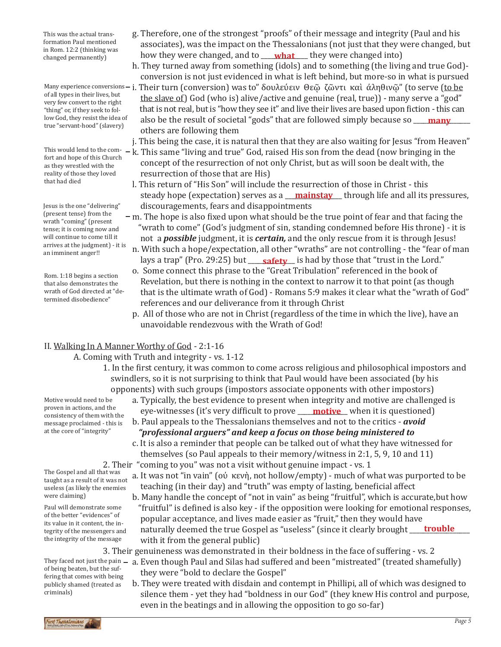This was the actual transformation Paul mentioned in Rom. 12:2 (thinking was

of all types in their lives, but very few convert to the right "thing" or, if they seek to follow God, they resist the idea of true "servant-hood" (slavery)

fort and hope of this Church as they wrestled with the reality of those they loved that had died

Jesus is the one "delivering" (present tense) from the wrath "coming" (present tense; it is coming now and will continue to come till it arrives at the judgment) - it is an imminent anger!!

Rom. 1:18 begins a section that also demonstrates the wrath of God directed at "determined disobedience"

- g. Therefore, one of the strongest "proofs" of their message and integrity (Paul and his associates), was the impact on the Thessalonians (not just that they were changed, but throm Figure (minimg was **how they were changed, and to <u>what</u>** they were changed into)
	- h. They turned away from something (idols) and to something (the living and true God) conversion is not just evidenced in what is left behind, but more-so in what is pursued
- many experience conversions i. Their turn (conversion) was to" δουλεύειν Θεῷ ζῶντι καὶ ἀληθινῷ" (to serve (<u>to be</u><br>Anil turn in their lives but the slave of) God (who is) alive/active and genuine (real, true)) - many serve a "god" that is not real, but is "how they see it" and live their lives are based upon fiction - this can also be the result of societal "gods" that are followed simply because so **\_\_\_\_\_\_\_\_\_\_\_\_\_** others are following them

j. This being the case, it is natural then that they are also waiting for Jesus "from Heaven"

- This would lend to the com- k. This same "living and true" God, raised His son from the dead (now bringing in the<br>fort and hone of this Church concept of the resurrection of not only Christ, but as will soon be dealt with, the resurrection of those that are His)
	- l. This return of "His Son" will include the resurrection of those in Christ this steady hope (expectation) serves as a **\_\_\_\_\_\_\_\_\_\_\_\_\_\_\_\_\_\_\_** through life and all its pressures, discouragements, fears and disappointments
	- m. The hope is also fixed upon what should be the true point of fear and that facing the "wrath to come" (God's judgment of sin, standing condemned before His throne) - it is not a *possible* judgment, it is *certain,* and the only rescue from it is through Jesus!
		- n. With such a hope/expectation, all other "wraths" are not controlling the "fear of man lays a trap" (Pro. 29:25) but \_\_\_\_**safety\_\_** is had by those that "trust in the Lord."
	- o. Some connect this phrase to the "Great Tribulation" referenced in the book of Revelation, but there is nothing in the context to narrow it to that point (as though that is the ultimate wrath of God) - Romans 5:9 makes it clear what the "wrath of God" references and our deliverance from it through Christ
	- p. All of those who are not in Christ (regardless of the time in which the live), have an unavoidable rendezvous with the Wrath of God!

# II. Walking In A Manner Worthy of God - 2:1-16

# A. Coming with Truth and integrity - vs. 1-12

1. In the first century, it was common to come across religious and philosophical impostors and swindlers, so it is not surprising to think that Paul would have been associated (by his opponents) with such groups (impostors associate opponents with other impostors)

Motive would need to be proven in actions, and the consistency of them with the message proclaimed - this is at the core of "integrity"

- a. Typically, the best evidence to present when integrity and motive are challenged is eye-witnesses (it's very difficult to prove **\_\_\_\_<u>motive\_\_</u>\_** when it is questioned)
- b. Paul appeals to the Thessalonians themselves and not to the critics *avoid "professional arguers" and keep a focus on those being ministered to*
- c. It is also a reminder that people can be talked out of what they have witnessed for themselves (so Paul appeals to their memory/witness in 2:1, 5, 9, 10 and 11) 2. Their "coming to you" was not a visit without genuine impact - vs. 1
	- a. It was not "in vain" (οὐ κενὴ, not hollow/empty) much of what was purported to be teaching (in their day) and "truth" was empty of lasting, beneficial affect
	- b. Many handle the concept of "not in vain" as being "fruitful", which is accurate,but how "fruitful" is defined is also key - if the opposition were looking for emotional responses, popular acceptance, and lives made easier as "fruit," then they would have naturally deemed the true Gospel as "useless" (since it clearly brought \_\_\_\_\_\_\_\_\_\_\_\_\_\_\_\_\_\_ **trouble**with it from the general public)

3. Their genuineness was demonstrated in their boldness in the face of suffering - vs. 2

- They faced not just the pain a. Even though Paul and Silas had suffered and been "mistreated" (treated shamefully)<br>of haive hatten but the suf they were "bold to declare the Gospel"
	- b. They were treated with disdain and contempt in Phillipi, all of which was designed to silence them - yet they had "boldness in our God" (they knew His control and purpose, even in the beatings and in allowing the opposition to go so-far)

The Gospel and all that was taught as a result of it was not useless (as likely the enemies were claiming)

Paul will demonstrate some of the better "evidences" of its value in it content, the integrity of the messengers and the integrity of the message

of being beaten, but the suffering that comes with being publicly shamed (treated as criminals)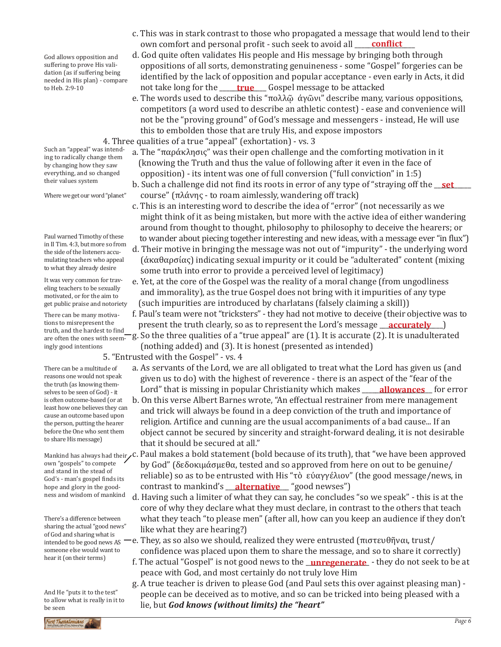God allows opposition and suffering to prove His validation (as if suffering being needed in His plan) - compare to Heb. 2:9-10

Such an "appeal" was intending to radically change them by changing how they saw everything, and so changed their values system

Where we get our word "planet"

Paul warned Timothy of these in II Tim. 4:3, but more so from the side of the listeners accumulating teachers who appeal to what they already desire

It was very common for traveling teachers to be sexually motivated, or for the aim to get public praise and notoriety

There can be many motivations to misrepresent the<br>truth and the hardest to find are often the ones with seemingly good intentions

There can be a multitude of reasons one would not speak the truth (as knowing themselves to be seen of God) - it is often outcome-based (or at least how one believes they can cause an outcome based upon the person, putting the hearer before the One who sent them to share His message)

own "gospels" to compete and stand in the stead of God's - man's gospel finds its hope and glory in the goodness and wisdom of mankind

There's a difference between sharing the actual "good news" of God and sharing what is intended to be good news AS someone else would want to hear it (on their terms)

And He "puts it to the test" to allow what is really in it to be seen

- c. This was in stark contrast to those who propagated a message that would lend to their own comfort and personal profit - such seek to avoid all **\_\_\_\_\_\_\_\_\_\_\_\_\_\_\_\_\_\_\_\_\_\_\_**
- d. God quite often validates His people and His message by bringing both through oppositions of all sorts, demonstrating genuineness - some "Gospel" forgeries can be identified by the lack of opposition and popular acceptance - even early in Acts, it did to Heb. 2:9-10 **hot take long for the <u>sect true</u>** Gospel message to be attacked
	- e. The words used to describe this "πολλῷ άγῶνι" describe many, various oppositions, competitors (a word used to describe an athletic contest) - ease and convenience will not be the "proving ground" of God's message and messengers - instead, He will use this to embolden those that are truly His, and expose impostors

4. Three qualities of a true "appeal" (exhortation) - vs. 3

- a. The "παράκλησις" was their open challenge and the comforting motivation in it (knowing the Truth and thus the value of following after it even in the face of opposition) - its intent was one of full conversion ("full conviction" in 1:5)
- b. Such a challenge did not find its roots in error of any type of "straying off the <u>get set a</u> course" (πλάνης - to roam aimlessly, wandering off track)
- c. This is an interesting word to describe the idea of "error" (not necessarily as we might think of it as being mistaken, but more with the active idea of either wandering around from thought to thought, philosophy to philosophy to deceive the hearers; or to wander about piecing together interesting and new ideas, with a message ever "in flux")
- d. Their motive in bringing the message was not out of "impurity" the underlying word (ἀκαθαρσίας) indicating sexual impurity or it could be "adulterated" content (mixing some truth into error to provide a perceived level of legitimacy)
- e. Yet, at the core of the Gospel was the reality of a moral change (from ungodliness and immorality), as the true Gospel does not bring with it impurities of any type (such impurities are introduced by charlatans (falsely claiming a skill))
- f. Paul's team were not "tricksters" they had not motive to deceive (their objective was to present the truth clearly, so as to represent the Lord's message **\_\_\_\_\_\_\_\_\_\_\_\_\_\_\_\_**)
- truth, and the hardest to find\_\_g. So the three qualities of a "true appeal" are (1). It is accurate (2). It is unadulterated<br>are often the ones with seem-g. So the three qualities of a "true appeal" are (1). It is accurat (nothing added) and (3). It is honest (presented as intended)
	- 5. "Entrusted with the Gospel" vs. 4
		- a. As servants of the Lord, we are all obligated to treat what the Lord has given us (and given us to do) with the highest of reverence - there is an aspect of the "fear of the Lord" that is missing in popular Christianity which makes **\_\_\_\_\_<u>allowances\_\_\_</u>** for error
		- b. On this verse Albert Barnes wrote, "An effectual restrainer from mere management and trick will always be found in a deep conviction of the truth and importance of religion. Artifice and cunning are the usual accompaniments of a bad cause... If an object cannot be secured by sincerity and straight-forward dealing, it is not desirable that it should be secured at all."
- <code>Mankind</code> has always had their $_{\verb|}$ C. Paul makes a bold statement (bold because of its truth), that "we have been approved by God" (δεδοκιμάσμεθα, tested and so approved from here on out to be genuine/ reliable) so as to be entrusted with His "τὸ εὐαγγέλιον" (the good message/news, in contrast to mankind's <u>\_\_\_**alternative** \_\_\_</u> "good newses")
	- d. Having such a limiter of what they can say, he concludes "so we speak" this is at the core of why they declare what they must declare, in contrast to the others that teach what they teach "to please men" (after all, how can you keep an audience if they don't like what they are hearing?)
	- e. They, as so also we should, realized they were entrusted (πιστευθῆναι, trust/ confidence was placed upon them to share the message, and so to share it correctly)
	- f. The actual "Gospel" is not good news to the **\_unregenerate\_** they do not seek to be at peace with God, and most certainly do not truly love Him
	- g. A true teacher is driven to please God (and Paul sets this over against pleasing man) people can be deceived as to motive, and so can be tricked into being pleased with a lie, but *God knows (without limits) the "heart"*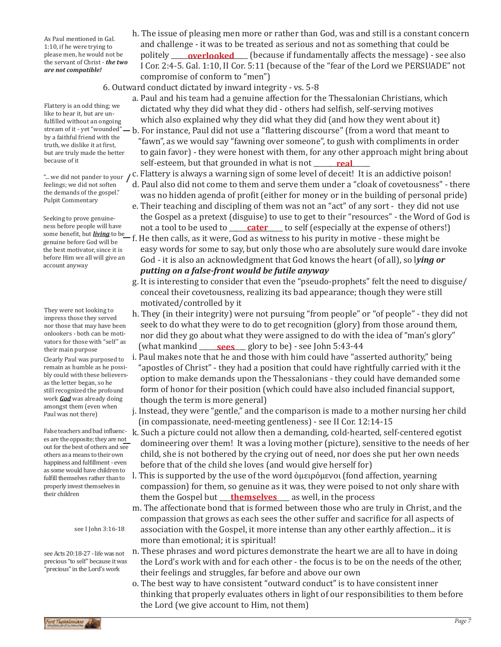As Paul mentioned in Gal. 1:10, if he were trying to please men, he would not be the servant of Christ - *the two are not compatible!*

Flattery is an odd thing; we like to hear it, but are un-

fulfilled without an ongoing by a faithful friend with the truth, we dislike it at first, but are truly made the better because of it

feelings; we did not soften the demands of the gospel." Pulpit Commentary

Seeking to prove genuineness before people will have genuine before God will be the best motivator, since it is before Him we all will give an account anyway

They were not looking to impress those they served nor those that may have been onlookers - both can be motivators for those with "self" as their main purpose

Clearly Paul was purposed to remain as humble as he possibly could with these believersas the letter began, so he still recognized the profound work *God* was already doing amongst them (even when Paul was not there)

False teachers and bad influences are the opposite; they are not out for the best of others and see others as a means to their own happiness and fulfillment - even as some would have children to fulfill themselves rather than to properly invest themselves in their children

see I John 3:16-18

see Acts 20:18-27 - life was not precious "to self" because it was "precious" in the Lord's work

- h. The issue of pleasing men more or rather than God, was and still is a constant concern and challenge - it was to be treated as serious and not as something that could be politely \_\_\_\_**overlooked** \_\_\_\_ (because if fundamentally affects the message) - see also I Cor. 2:4-5. Gal. 1:10, II Cor. 5:11 (because of the "fear of the Lord we PERSUADE" not compromise of conform to "men")
- 6. Outward conduct dictated by inward integrity vs. 5-8
	- a. Paul and his team had a genuine affection for the Thessalonian Christians, which dictated why they did what they did - others had selfish, self-serving motives which also explained why they did what they did (and how they went about it)
	-
- stream of it yet "wounded" b. For instance, Paul did not use a "flattering discourse" (from a word that meant to<br>by a faithful friend with the "fawn", as we would say "fawning over someone", to gush with compliments in order to gain favor) - they were honest with them, for any other approach might bring about because of it **reading the self-esteem, but that grounded in what is not <u>read</u>ing the self**self-esteem, but that grounded in what is not **real**
- "... we did not pander to your  $\int$  C. Flattery is always a warning sign of some level of deceit! It is an addictive poison!
	- d. Paul also did not come to them and serve them under a "cloak of covetousness" there was no hidden agenda of profit (either for money or in the building of personal pride)
	- e. Their teaching and discipling of them was not an "act" of any sort they did not use the Gospel as a pretext (disguise) to use to get to their "resources" - the Word of God is not a tool to be used to <u>cater</u> to self (especially at the expense of others!)
- some benefit, but *living* to be f. He then calls, as it were, God as witness to his purity in motive these might be genuine before God will be easy words for some to say, but only those who are absolutely sure would dare invoke God - it is also an acknowledgment that God knows the heart (of all), so l*ying or putting on a false-front would be futile anyway*
	- g. It is interesting to consider that even the "pseudo-prophets" felt the need to disguise/ conceal their covetousness, realizing its bad appearance; though they were still motivated/controlled by it
	- h. They (in their integrity) were not pursuing "from people" or "of people" they did not seek to do what they were to do to get recognition (glory) from those around them, nor did they go about what they were assigned to do with the idea of "man's glory" (what mankind \_\_\_\_\_\_\_\_\_\_\_\_\_\_ glory to be) - see John 5:43-44 **sees**
	- i. Paul makes note that he and those with him could have "asserted authority," being "apostles of Christ" - they had a position that could have rightfully carried with it the option to make demands upon the Thessalonians - they could have demanded some form of honor for their position (which could have also included financial support, though the term is more general)
	- j. Instead, they were "gentle," and the comparison is made to a mother nursing her child (in compassionate, need-meeting gentleness) - see II Cor. 12:14-15
	- k. Such a picture could not allow then a demanding, cold-hearted, self-centered egotist domineering over them! It was a loving mother (picture), sensitive to the needs of her child, she is not bothered by the crying out of need, nor does she put her own needs before that of the child she loves (and would give herself for)
- l. This is supported by the use of the word ὁμειρόμενοι (fond affection, yearning compassion) for them, so genuine as it was, they were poised to not only share with them the Gospel but \_\_\_\_\_\_\_\_\_\_\_\_\_\_\_\_\_\_\_\_\_ as well, in the process **themselves**
	- m. The affectionate bond that is formed between those who are truly in Christ, and the compassion that grows as each sees the other suffer and sacrifice for all aspects of association with the Gospel, it more intense than any other earthly affection... it is more than emotional; it is spiritual!
	- n. These phrases and word pictures demonstrate the heart we are all to have in doing the Lord's work with and for each other - the focus is to be on the needs of the other, their feelings and struggles, far before and above our own
	- o. The best way to have consistent "outward conduct" is to have consistent inner thinking that properly evaluates others in light of our responsibilities to them before the Lord (we give account to Him, not them)

irst Thessalonians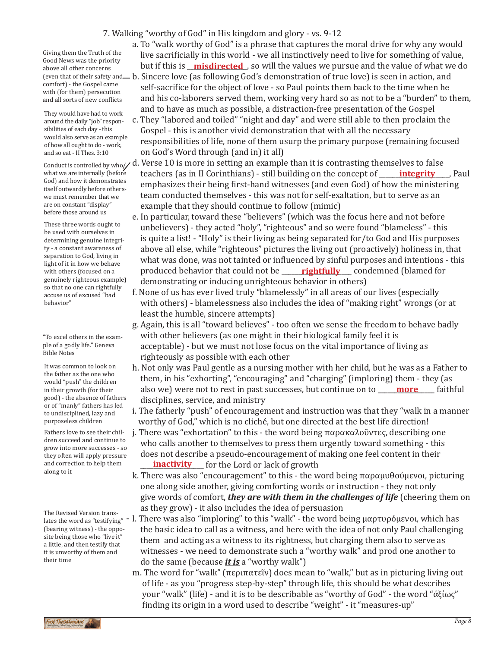## 7. Walking "worthy of God" in His kingdom and glory - vs. 9-12

Giving them the Truth of the Good News was the priority above all other concerns comfort) - the Gospel came with (for them) persecution and all sorts of new conflicts

They would have had to work around the daily "job" responsibilities of each day - this would also serve as an example of how all ought to do - work, and so eat - II Thes. 3:10

what we are internally (before God) and how it demonstrates itself outwardly before otherswe must remember that we are on constant "display" before those around us

These three words ought to be used with ourselves in determining genuine integrity - a constant awareness of separation to God, living in light of it in how we behave with others (focused on a genuinely righteous example) so that no one can rightfully accuse us of excused "bad behavior"

"To excel others in the example of a godly life." Geneva Bible Notes

It was common to look on the father as the one who would "push" the children in their growth (for their good) - the absence of fathers or of "manly" fathers has led to undisciplined, lazy and purposeless children

Fathers love to see their children succeed and continue to grow into more successes - so they often will apply pressure and correction to help them along to it

The Revised Version translates the word as "testifying"  $-$  l. (bearing witness) - the opposite being those who "live it" a little, and then testify that it is unworthy of them and their time

a. To "walk worthy of God" is a phrase that captures the moral drive for why any would live sacrificially in this world - we all instinctively need to live for something of value, but if this is \_\_\_\_\_\_\_\_\_\_\_\_\_\_\_\_\_\_, so will the values we pursue and the value of what we do **misdirected**

- leven that of their safety and— b. Sincere love (as following God's demonstration of true love) is seen in action, and self-sacrifice for the object of love - so Paul points them back to the time when he and his co-laborers served them, working very hard so as not to be a "burden" to them, and to have as much as possible, a distraction-free presentation of the Gospel
	- c. They "labored and toiled" "night and day" and were still able to then proclaim the Gospel - this is another vivid demonstration that with all the necessary responsibilities of life, none of them usurp the primary purpose (remaining focused on God's Word through (and in) it all)
- Conduct is controlled by who $\gamma$  d. Verse 10 is more in setting an example than it is contrasting themselves to false teachers (as in II Corinthians) - still building on the concept of **\_\_\_\_\_\_<u>integrity</u>** \_\_\_, Paul emphasizes their being first-hand witnesses (and even God) of how the ministering team conducted themselves - this was not for self-exaltation, but to serve as an example that they should continue to follow (mimic)
	- e. In particular, toward these "believers" (which was the focus here and not before unbelievers) - they acted "holy", "righteous" and so were found "blameless" - this is quite a list! - "Holy" is their living as being separated for/to God and His purposes above all else, while "righteous" pictures the living out (proactively) holiness in, that what was done, was not tainted or influenced by sinful purposes and intentions - this produced behavior that could not be \_\_\_\_\_\_<mark>rightfully</mark>\_\_\_\_ condemned (blamed for demonstrating or inducing unrighteous behavior in others)
	- f. None of us has ever lived truly "blamelessly" in all areas of our lives (especially with others) - blamelessness also includes the idea of "making right" wrongs (or at least the humble, sincere attempts)
	- g. Again, this is all "toward believes" too often we sense the freedom to behave badly with other believers (as one might in their biological family feel it is acceptable) - but we must not lose focus on the vital importance of living as righteously as possible with each other
	- h. Not only was Paul gentle as a nursing mother with her child, but he was as a Father to them, in his "exhorting", "encouraging" and "charging" (imploring) them - they (as also we) were not to rest in past successes, but continue on to **\_\_\_\_\_\_\_\_\_\_\_\_\_\_\_**\_ faithful disciplines, service, and ministry
	- i. The fatherly "push" of encouragement and instruction was that they "walk in a manner worthy of God," which is no cliché, but one directed at the best life direction!
- j. There was "exhortation" to this the word being παρακαλοῦντες, describing one who calls another to themselves to press them urgently toward something - this does not describe a pseudo-encouragement of making one feel content in their and correction to help them **inactivity** for the Lord or lack of growth
	- k. There was also "encouragement" to this the word being παραμυθούμενοι, picturing one along side another, giving comforting words or instruction - they not only give words of comfort, *they are with them in the challenges of life* (cheering them on as they grow) - it also includes the idea of persuasion
	- There was also "imploring" to this "walk" the word being μαρτυρόμενοι, which has the basic idea to call as a witness, and here with the idea of not only Paul challenging them and acting as a witness to its rightness, but charging them also to serve as witnesses - we need to demonstrate such a "worthy walk" and prod one another to do the same (because *it is* a "worthy walk")
	- m. The word for "walk" (περιπατεῖν) does mean to "walk," but as in picturing living out of life - as you "progress step-by-step" through life, this should be what describes your "walk" (life) - and it is to be describable as "worthy of God" - the word "ἀξίως" finding its origin in a word used to describe "weight" - it "measures-up"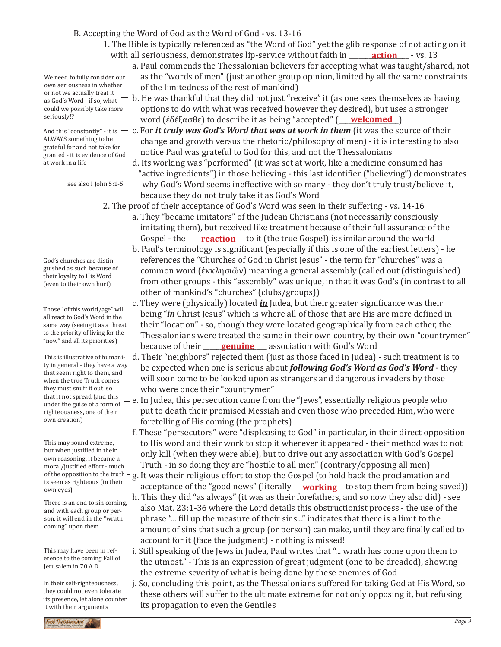### B. Accepting the Word of God as the Word of God - vs. 13-16

- 1. The Bible is typically referenced as "the Word of God" yet the glib response of not acting on it with all seriousness, demonstrates lip-service without faith in \_\_\_\_\_\_\_\_<mark>action</mark>\_\_\_\_\_- vs. 13
	- a. Paul commends the Thessalonian believers for accepting what was taught/shared, not as the "words of men" (just another group opinion, limited by all the same constraints of the limitedness of the rest of mankind)
	- b. He was thankful that they did not just "receive" it (as one sees themselves as having options to do with what was received however they desired), but uses a stronger word (έδέξασθε) to describe it as being "accepted" (<u>\_\_\_**welcomed\_\_**)</u>
- And this "constantly" it is  $-$  c. For *it truly was God's Word that was at work in them* (it was the source of their change and growth versus the rhetoric/philosophy of men) - it is interesting to also notice Paul was grateful to God for this, and not the Thessalonians
	- d. Its working was "performed" (it was set at work, like a medicine consumed has "active ingredients") in those believing - this last identifier ("believing") demonstrates why God's Word seems ineffective with so many - they don't truly trust/believe it, because they do not truly take it as God's Word
	- 2. The proof of their acceptance of God's Word was seen in their suffering vs. 14-16
		- a. They "became imitators" of the Judean Christians (not necessarily consciously imitating them), but received like treatment because of their full assurance of the Gospel - the <u>\_\_\_\_**reaction**\_\_</u> to it (the true Gospel) is similar around the world
		- b. Paul's terminology is significant (especially if this is one of the earliest letters) he references the "Churches of God in Christ Jesus" - the term for "churches" was a common word (ἐκκλησιῶν) meaning a general assembly (called out (distinguished) from other groups - this "assembly" was unique, in that it was God's (in contrast to all other of mankind's "churches" (clubs/groups))
- c. They were (physically) located *in* Judea, but their greater significance was their being "*in* Christ Jesus" which is where all of those that are His are more defined in their "location" - so, though they were located geographically from each other, the Thessalonians were treated the same in their own country, by their own "countrymen" because of their <u>genuine</u> association with God's Word
	- d. Their "neighbors" rejected them (just as those faced in Judea) such treatment is to be expected when one is serious about *following God's Word as God's Word* - they will soon come to be looked upon as strangers and dangerous invaders by those who were once their "countrymen"
	- e. In Judea, this persecution came from the "Jews", essentially religious people who put to death their promised Messiah and even those who preceded Him, who were foretelling of His coming (the prophets)
		- f. These "persecutors" were "displeasing to God" in particular, in their direct opposition to His word and their work to stop it wherever it appeared - their method was to not only kill (when they were able), but to drive out any association with God's Gospel Truth - in so doing they are "hostile to all men" (contrary/opposing all men)
		- g. It was their religious effort to stop the Gospel (to hold back the proclamation and acceptance of the "good news" (literally <u>\_\_**working**\_</u> to stop them from being saved))
		- h. This they did "as always" (it was as their forefathers, and so now they also did) see also Mat. 23:1-36 where the Lord details this obstructionist process - the use of the phrase "... fill up the measure of their sins..." indicates that there is a limit to the amount of sins that such a group (or person) can make, until they are finally called to account for it (face the judgment) - nothing is missed!
		- i. Still speaking of the Jews in Judea, Paul writes that "... wrath has come upon them to the utmost." - This is an expression of great judgment (one to be dreaded), showing the extreme severity of what is being done by these enemies of God
		- j. So, concluding this point, as the Thessalonians suffered for taking God at His Word, so these others will suffer to the ultimate extreme for not only opposing it, but refusing its propagation to even the Gentiles

We need to fully consider our own seriousness in whether or not we actually treat it as God's Word - if so, what could we possibly take more seriously!?

ALWAYS something to be grateful for and not take for granted - it is evidence of God at work in a life

see also I John 5:1-5

God's churches are distinguished as such because of their loyalty to His Word (even to their own hurt)

Those "of this world/age" will all react to God's Word in the same way (seeing it as a threat to the priority of living for the "now" and all its priorities)

This is illustrative of humanity in general - they have a way that seem right to them, and when the true Truth comes, they must snuff it out so that it not spread (and this under the guise of a form of righteousness, one of their own creation)

This may sound extreme, but when justified in their own reasoning, it became a moral/justified effort - much of the opposition to the truth is seen as righteous (in their own eyes)

There is an end to sin coming, and with each group or person, it will end in the "wrath coming" upon them

This may have been in reference to the coming Fall of Jerusalem in 70 A.D.

In their self-righteousness, they could not even tolerate its presence, let alone counter it with their arguments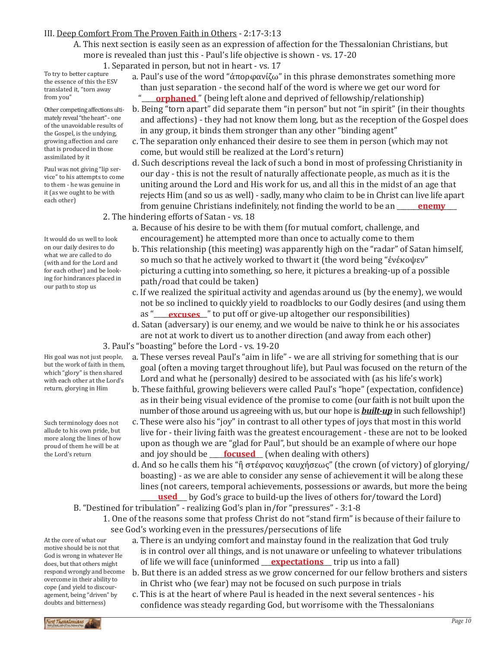## III. Deep Comfort From The Proven Faith in Others - 2:17-3:13

A. This next section is easily seen as an expression of affection for the Thessalonian Christians, but more is revealed than just this - Paul's life objective is shown - vs. 17-20

1. Separated in person, but not in heart - vs. 17

To try to better capture the essence of this the ESV translated it, "torn away from you"

Other competing affections ultimately reveal "the heart" - one of the unavoidable results of the Gospel, is the undying, growing affection and care that is produced in those assimilated by it

Paul was not giving "lip service" to his attempts to come to them - he was genuine in it (as we ought to be with each other)

It would do us well to look on our daily desires to do what we are called to do (with and for the Lord and for each other) and be looking for hindrances placed in our path to stop us

His goal was not just people, but the work of faith in them, which "glory" is then shared with each other at the Lord's return, glorying in Him

Such terminology does not allude to his own pride, but more along the lines of how proud of them he will be at the Lord's return

At the core of what our motive should be is not that God is wrong in whatever He does, but that others might respond wrongly and become overcome in their ability to cope (and yield to discouragement, being "driven" by doubts and bitterness)

- a. Paul's use of the word "ἀπορφανίζω" in this phrase demonstrates something more than just separation - the second half of the word is where we get our word for "**\_\_\_\_<u>orphaned</u>**" (being left alone and deprived of fellowship/relationship)
	- b. Being "torn apart" did separate them "in person" but not "in spirit" (in their thoughts and affections) - they had not know them long, but as the reception of the Gospel does in any group, it binds them stronger than any other "binding agent"
	- c. The separation only enhanced their desire to see them in person (which may not come, but would still be realized at the Lord's return)
- d. Such descriptions reveal the lack of such a bond in most of professing Christianity in our day - this is not the result of naturally affectionate people, as much as it is the uniting around the Lord and His work for us, and all this in the midst of an age that rejects Him (and so us as well) - sadly, many who claim to be in Christ can live life apart from genuine Christians indefinitely, not finding the world to be an **enemy** 2. The hindering efforts of Satan - vs. 18
	- a. Because of his desire to be with them (for mutual comfort, challenge, and encouragement) he attempted more than once to actually come to them
		- b. This relationship (this meeting) was apparently high on the "radar" of Satan himself, so much so that he actively worked to thwart it (the word being "ἐνέκοψεν" picturing a cutting into something, so here, it pictures a breaking-up of a possible path/road that could be taken)
		- c. If we realized the spiritual activity and agendas around us (by the enemy), we would not be so inclined to quickly yield to roadblocks to our Godly desires (and using them as "\_\_\_\_**excuses**\_\_" to put off or give-up altogether our responsibilities)
		- d. Satan (adversary) is our enemy, and we would be naive to think he or his associates are not at work to divert us to another direction (and away from each other)
- 3. Paul's "boasting" before the Lord vs. 19-20
	- a. These verses reveal Paul's "aim in life" we are all striving for something that is our goal (often a moving target throughout life), but Paul was focused on the return of the Lord and what he (personally) desired to be associated with (as his life's work)
	- b. These faithful, growing believers were called Paul's "hope" (expectation, confidence) as in their being visual evidence of the promise to come (our faith is not built upon the number of those around us agreeing with us, but our hope is *built-up* in such fellowship!)
	- c. These were also his "joy" in contrast to all other types of joys that most in this world live for - their living faith was the greatest encouragement - these are not to be looked upon as though we are "glad for Paul", but should be an example of where our hope and joy should be <u>corused</u> (when dealing with others)
	- d. And so he calls them his "ἢ στέφανος καυχήσεως" (the crown (of victory) of glorying/ boasting) - as we are able to consider any sense of achievement it will be along these lines (not careers, temporal achievements, possessions or awards, but more the being **used** by God's grace to build-up the lives of others for/toward the Lord)
- B. "Destined for tribulation" realizing God's plan in/for "pressures" 3:1-8
	- 1. One of the reasons some that profess Christ do not "stand firm" is because of their failure to see God's working even in the pressures/persecutions of life
		- a. There is an undying comfort and mainstay found in the realization that God truly is in control over all things, and is not unaware or unfeeling to whatever tribulations of life we will face (uninformed <u>expectations</u> trip us into a fall)
		- b. But there is an added stress as we grow concerned for our fellow brothers and sisters in Christ who (we fear) may not be focused on such purpose in trials
		- c. This is at the heart of where Paul is headed in the next several sentences his confidence was steady regarding God, but worrisome with the Thessalonians

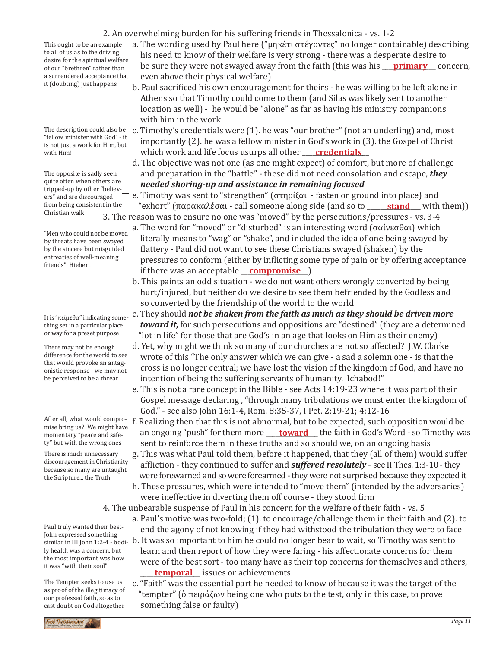Paul truly wanted their best-John expressed something similar in III John 1:2-4 - bodily health was a concern, but

the most important was how it was "with their soul"

The Tempter seeks to use us

There is much unnecessary discouragement in Christianity because so many are untaught the Scripture... the Truth

After all, what would compromise bring us? We might have momentary "peace and safety" but with the wrong ones

or way for a preset purpose difference for the world to see

It is "κείμεθα" indicating something set in a particular place

There may not be enough that would provoke an antagonistic response - we may not be perceived to be a threat

tripped-up by other "believers" and are discouraged from being consistent in the Christian walk "Men who could not be moved by threats have been swayed

by the sincere but misguided entreaties of well-meaning

friends" Hiebert

The opposite is sadly seen quite often when others are

The description could also be "fellow minister with God" - it is not just a work for Him, but with Him!

 Athens so that Timothy could come to them (and Silas was likely sent to another location as well) - he would be "alone" as far as having his ministry companions it (doubting) just happens

- with him in the work c. Timothy's credentials were (1). he was "our brother" (not an underling) and, most importantly (2). he was a fellow minister in God's work in (3). the Gospel of Christ
- which work and life focus usurps all other \_\_\_\_\_\_\_\_\_\_\_\_\_\_\_\_\_\_\_\_ **credentials** d. The objective was not one (as one might expect) of comfort, but more of challenge and preparation in the "battle" - these did not need consolation and escape, *they needed shoring-up and assistance in remaining focused*
	- e. Timothy was sent to "strengthen" (στηρίξαι fasten or ground into place) and "exhort" (παρακαλέσαι - call someone along side (and so to \_\_\_\_\_<mark>stand</mark>\_\_\_ with them))
	- 3. The reason was to ensure no one was "moved" by the persecutions/pressures vs. 3-4 a. The word for "moved" or "disturbed" is an interesting word (σαίνεσθαι) which
		- literally means to "wag" or "shake", and included the idea of one being swayed by flattery - Paul did not want to see these Christians swayed (shaken) by the pressures to conform (either by inflicting some type of pain or by offering acceptance if there was an acceptable **\_\_<u>compromise</u>** \_)
		- b. This paints an odd situation we do not want others wrongly converted by being hurt/injured, but neither do we desire to see them befriended by the Godless and so converted by the friendship of the world to the world
		- c. They should *not be shaken from the faith as much as they should be driven more toward it,* for such persecutions and oppositions are "destined" (they are a determined "lot in life" for those that are God's in an age that looks on Him as their enemy)
		- d. Yet, why might we think so many of our churches are not so affected? J.W. Clarke wrote of this "The only answer which we can give - a sad a solemn one - is that the cross is no longer central; we have lost the vision of the kingdom of God, and have no intention of being the suffering servants of humanity. Ichabod!"
		- e. This is not a rare concept in the Bible see Acts 14:19-23 where it was part of their Gospel message declaring , "through many tribulations we must enter the kingdom of God." - see also John 16:1-4, Rom. 8:35-37, I Pet. 2:19-21; 4:12-16
		- f. Realizing then that this is not abnormal, but to be expected, such opposition would be an ongoing "push" for them more <u>\_\_\_\_**toward** \_\_</u>\_ the faith in God's Word - so Timothy was sent to reinforce them in these truths and so should we, on an ongoing basis
		- g. This was what Paul told them, before it happened, that they (all of them) would suffer affliction - they continued to suffer and *suffered resolutely* - see II Thes. 1:3-10 - they were forewarned and so were forearmed - they were not surprised because they expected it
		- h. These pressures, which were intended to "move them" (intended by the adversaries) were ineffective in diverting them off course - they stood firm
	- 4. The unbearable suspense of Paul in his concern for the welfare of their faith vs. 5
		- a. Paul's motive was two-fold; (1). to encourage/challenge them in their faith and (2). to end the agony of not knowing if they had withstood the tribulation they were to face
- b. It was so important to him he could no longer bear to wait, so Timothy was sent to learn and then report of how they were faring - his affectionate concerns for them were of the best sort - too many have as their top concerns for themselves and others, **temporal** issues or achievements
	- c. "Faith" was the essential part he needed to know of because it was the target of the "tempter" (ὁ πειράζων being one who puts to the test, only in this case, to prove something false or faulty)

2. An overwhelming burden for his suffering friends in Thessalonica - vs. 1-2

- a. The wording used by Paul here ("μηκέτι στέγοντες" no longer containable) describing his need to know of their welfare is very strong - there was a desperate desire to be sure they were not swayed away from the faith (this was his <u>primary</u> concern, even above their physical welfare)
- This ought to be an example to all of us as to the driving

b. Paul sacrificed his own encouragement for theirs - he was willing to be left alone in desire for the spiritual welfare of our "brethren" rather than a surrendered acceptance that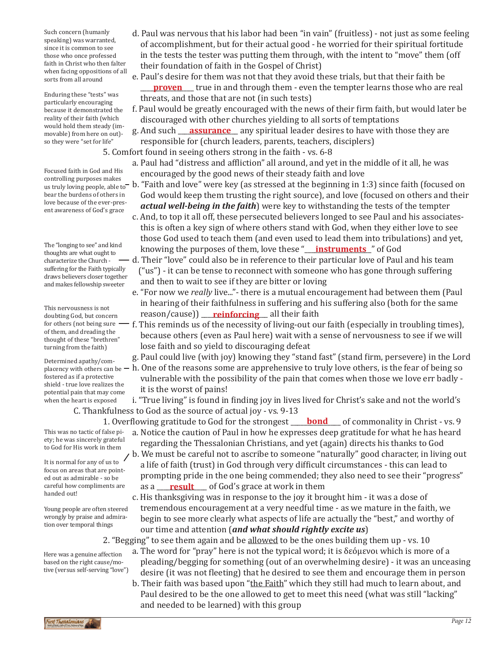Such concern (humanly speaking) was warranted, since it is common to see those who once professed faith in Christ who then falter when facing oppositions of all sorts from all around

Enduring these "tests" was particularly encouraging because it demonstrated the reality of their faith (which would hold them steady (immovable) from here on out) so they were "set for life"

Focused faith in God and His us truly loving people, able to bear the burdens of others in love because of the ever-present awareness of God's grace

The "longing to see" and kind thoughts are what ought to characterize the Church suffering for the Faith typically draws believers closer together and makes fellowship sweeter

This nervousness is not doubting God, but concern of them, and dreading the thought of these "brethren" turning from the faith)

potential pain that may come it is the worst of pains! Determined apathy/comfostered as if a protective shield - true love realizes the when the heart is exposed

This was no tactic of false piety; he was sincerely grateful to God for His work in them

It is normal for any of us to focus on areas that are pointed out as admirable - so be careful how compliments are handed out!

Young people are often steered wrongly by praise and admiration over temporal things

Here was a genuine affection based on the right cause/motive (versus self-serving "love")

- d. Paul was nervous that his labor had been "in vain" (fruitless) not just as some feeling of accomplishment, but for their actual good - he worried for their spiritual fortitude in the tests the tester was putting them through, with the intent to "move" them (off their foundation of faith in the Gospel of Christ)
- e. Paul's desire for them was not that they avoid these trials, but that their faith be **proven** true in and through them - even the tempter learns those who are real material and through them - even the tempter learns those who are real threats, and those that are not (in such tests)
	- f. Paul would be greatly encouraged with the news of their firm faith, but would later be discouraged with other churches yielding to all sorts of temptations
- movable) from here on out)- g. And such <u>assurance</u> any spiritual leader desires to have with those they are responsible for (church leaders, parents, teachers, disciplers)
	- 5. Comfort found in seeing others strong in the faith vs. 6-8
- a. Paul had "distress and affliction" all around, and yet in the middle of it all, he was Focused faith in God and His encouraged by the good news of their steady faith and love controlling purposes makes
- controlling purposes makes<br>us truly loving people, able to b. "Faith and love" were key (as stressed at the beginning in 1:3) since faith (focused on God would keep them trusting the right source), and love (focused on others and their *actual well-being in the faith*) were key to withstanding the tests of the tempter
	- c. And, to top it all off, these persecuted believers longed to see Paul and his associates this is often a key sign of where others stand with God, when they either love to see those God used to teach them (and even used to lead them into tribulations) and yet, knowing the purposes of them, love these "**\_\_<u>\_\_\_\_\_\_\_\_\_\_\_\_\_\_\_\_\_\_\_\_\_\_\_\_\_\_\_\_\_**</u>" of God
	- d. Their "love" could also be in reference to their particular love of Paul and his team ("us") - it can be tense to reconnect with someone who has gone through suffering and then to wait to see if they are bitter or loving
	- e. "For now we *really* live..."- there is a mutual encouragement had between them (Paul in hearing of their faithfulness in suffering and his suffering also (both for the same reason/cause)) \_\_\_\_\_\_\_\_\_\_\_\_\_\_\_\_\_\_\_\_ all their faith **reinforcing**
- for others (not being sure f. This reminds us of the necessity of living-out our faith (especially in troubling times),<br>of them and dreading the because others (even as Paul here) wait with a sense of nervousness to see if we will lose faith and so yield to discouraging defeat
	- g. Paul could live (with joy) knowing they "stand fast" (stand firm, persevere) in the Lord
- placency with others can be  $-$  h. One of the reasons some are apprehensive to truly love others, is the fear of being so vulnerable with the possibility of the pain that comes when those we love err badly -<br>it is the worst of pains!
	- i. "True living" is found in finding joy in lives lived for Christ's sake and not the world's C. Thankfulness to God as the source of actual joy - vs. 9-13

1. Overflowing gratitude to God for the strongest **\_\_\_\_<u>bond</u>\_\_\_\_** of commonality in Christ - vs. 9

- a. Notice the caution of Paul in how he expresses deep gratitude for what he has heard regarding the Thessalonian Christians, and yet (again) directs his thanks to God
- b. We must be careful not to ascribe to someone "naturally" good character, in living out a life of faith (trust) in God through very difficult circumstances - this can lead to prompting pride in the one being commended; they also need to see their "progress" careful how compliments are as a <u>\_\_\_\_**result**\_\_\_\_</u> of God's grace at work in them
	- c. His thanksgiving was in response to the joy it brought him it was a dose of tremendous encouragement at a very needful time - as we mature in the faith, we begin to see more clearly what aspects of life are actually the "best," and worthy of our time and attention (*and what should rightly excite us*)
	- 2. "Begging" to see them again and be allowed to be the ones building them up vs. 10
		- a. The word for "pray" here is not the typical word; it is δεόμενοι which is more of a pleading/begging for something (out of an overwhelming desire) - it was an unceasing desire (it was not fleeting) that he desired to see them and encourage them in person
			- b. Their faith was based upon "the Faith" which they still had much to learn about, and Paul desired to be the one allowed to get to meet this need (what was still "lacking" and needed to be learned) with this group

irst Thessalonians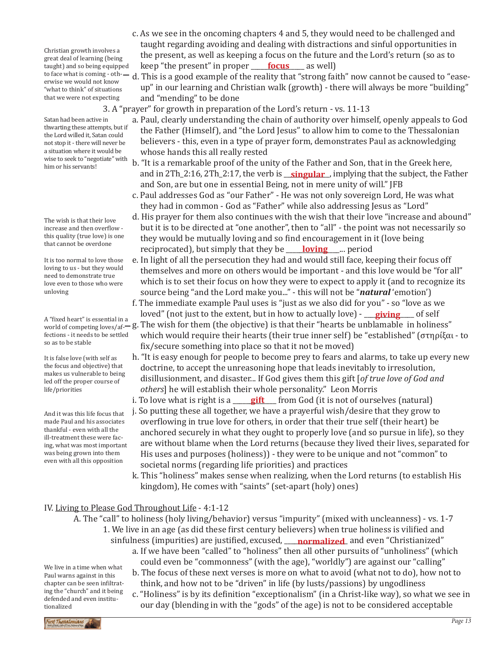to face what is coming - oth- — d. This is a good example of the reality that "strong faith" now cannot be caused to "ease-<br>erwise we would not know Christian growth involves a great deal of learning (being taught) and so being equipped erwise we would not know "what to think" of situations that we were not expecting

3. A "prayer" for growth in preparation of the Lord's return - vs. 11-13

and "mending" to be done

keep "the present" in proper <u>\_\_\_\_\_\_**focus** \_\_\_</u>\_\_ as well)

 a. Paul, clearly understanding the chain of authority over himself, openly appeals to God the Father (Himself), and "the Lord Jesus" to allow him to come to the Thessalonian believers - this, even in a type of prayer form, demonstrates Paul as acknowledging whose hands this all really rested

up" in our learning and Christian walk (growth) - there will always be more "building"

c. As we see in the oncoming chapters 4 and 5, they would need to be challenged and taught regarding avoiding and dealing with distractions and sinful opportunities in the present, as well as keeping a focus on the future and the Lord's return (so as to

- b. "It is a remarkable proof of the unity of the Father and Son, that in the Greek here, and in 2Th\_2:16, 2Th\_2:17, the verb is <u>\_\_**singular**\_</u>, implying that the subject, the Father and Son, are but one in essential Being, not in mere unity of will." JFB
- c. Paul addresses God as "our Father" He was not only sovereign Lord, He was what they had in common - God as "Father" while also addressing Jesus as "Lord"
- d. His prayer for them also continues with the wish that their love "increase and abound" but it is to be directed at "one another", then to "all" - the point was not necessarily so they would be mutually loving and so find encouragement in it (love being reciprocated), but simply that they be *loving* ... period
- e. In light of all the persecution they had and would still face, keeping their focus off themselves and more on others would be important - and this love would be "for all" which is to set their focus on how they were to expect to apply it (and to recognize its source being "and the Lord make you..." - this will not be "*natural* 'emotion')
- f. The immediate example Paul uses is "just as we also did for you" so "love as we loved" (not just to the extent, but in how to actually love) - <u>\_\_\_\_\_\_\_\_\_</u> of self **loved" (not just to the extent, but in how to actually love) - <u>giving</u><br>A "fixed heart" is essential in a cambo wigh for them (the objective) is that their "bearts be unblamable** 
	- g. The wish for them (the objective) is that their "hearts be unblamable in holiness" which would require their hearts (their true inner self) be "established" (στηρίξαι - to fix/secure something into place so that it not be moved)
	- h. "It is easy enough for people to become prey to fears and alarms, to take up every new doctrine, to accept the unreasoning hope that leads inevitably to irresolution, disillusionment, and disaster... If God gives them this gift [*of true love of God and others*] he will establish their whole personality." Leon Morris
	- i. To love what is right is a <u>sepicts from God (it is not of ourselves (natural)</u>
	- j. So putting these all together, we have a prayerful wish/desire that they grow to overflowing in true love for others, in order that their true self (their heart) be anchored securely in what they ought to properly love (and so pursue in life), so they are without blame when the Lord returns (because they lived their lives, separated for His uses and purposes (holiness)) - they were to be unique and not "common" to societal norms (regarding life priorities) and practices
	- k. This "holiness" makes sense when realizing, when the Lord returns (to establish His kingdom), He comes with "saints" (set-apart (holy) ones)

# IV. Living to Please God Throughout Life - 4:1-12

- A. The "call" to holiness (holy living/behavior) versus "impurity" (mixed with uncleanness) vs. 1-7
	- 1. We live in an age (as did these first century believers) when true holiness is vilified and sinfulness (impurities) are justified, excused, \_\_\_\_**normalized**\_ and even "Christianized" a. If we have been "called" to "holiness" then all other pursuits of "unholiness" (which
		- could even be "commonness" (with the age), "worldly") are against our "calling"
		- b. The focus of these next verses is more on what to avoid (what not to do), how not to think, and how not to be "driven" in life (by lusts/passions) by ungodliness c. "Holiness" is by its definition "exceptionalism" (in a Christ-like way), so what we see in
		- our day (blending in with the "gods" of the age) is not to be considered acceptable

Satan had been active in thwarting these attempts, but if the Lord willed it, Satan could not stop it - there will never be a situation where it would be wise to seek to "negotiate" with him or his servants!

The wish is that their love increase and then overflow this quality (true love) is one that cannot be overdone

It is too normal to love those loving to us - but they would need to demonstrate true love even to those who were unloving

world of competing loves/affections - it needs to be settled so as to be stable

It is false love (with self as the focus and objective) that makes us vulnerable to being led off the proper course of life/priorities

And it was this life focus that made Paul and his associates thankful - even with all the ill-treatment these were facing, what was most important was being grown into them even with all this opposition

tionalized

We live in a time when what Paul warns against in this chapter can be seen infiltrating the "church" and it being defended and even institu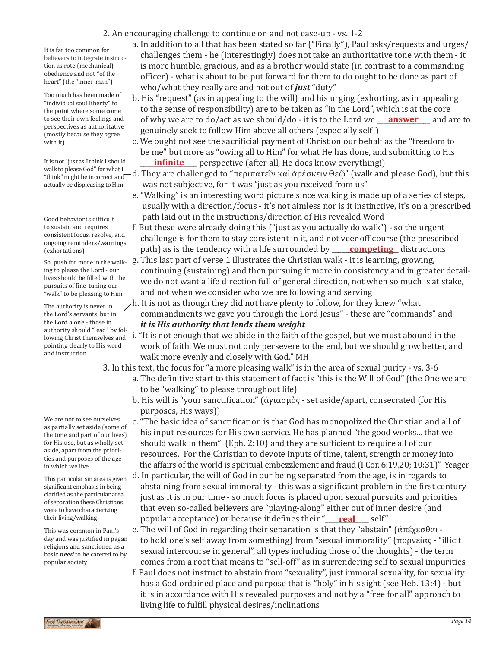2. An encouraging challenge to continue on and not ease-up - vs. 1-2

It is far too common for believers to integrate instruction as rote (mechanical) obedience and not "of the heart" (the "inner-man")

Too much has been made of "individual soul liberty" to the point where some come to see their own feelings and perspectives as authoritative (mostly because they agree with it)

It is not "just as I think I should walk to please God" for what I "think" might be incorrect and actually be displeasing to Him

Good behavior is difficult to sustain and requires consistent focus, resolve, and ongoing reminders/warnings (exhortations)

ing to please the Lord - our lives should be filled with the pursuits of fine-tuning our "walk" to be pleasing to Him

The authority is never in the Lord's servants, but in the Lord alone - those in authority should "lead" by following Christ themselves and pointing clearly to His word and instruction

We are not to see ourselves as partially set aside (some of the time and part of our lives) for His use, but as wholly set aside, apart from the priorities and purposes of the age in which we live

This particular sin area is given significant emphasis in being clarified as the particular area of separation these Christians were to have characterizing their living/walking

This was common in Paul's day and was justified in pagan religions and sanctioned as a basic *need* to be catered to by popular society

- a. In addition to all that has been stated so far ("Finally"), Paul asks/requests and urges/ challenges them - he (interestingly) does not take an authoritative tone with them - it is more humble, gracious, and as a brother would state (in contrast to a commanding officer) - what is about to be put forward for them to do ought to be done as part of who/what they really are and not out of *just* "duty"
- b. His "request" (as in appealing to the will) and his urging (exhorting, as in appealing to the sense of responsibility) are to be taken as "in the Lord", which is at the core of why we are to do/act as we should/do - it is to the Lord we <u>\_\_\_\_\_\_\_\_\_\_\_\_\_\_\_\_</u> and are to genuinely seek to follow Him above all others (especially self!)
- c. We ought not see the sacrificial payment of Christ on our behalf as the "freedom to be me" but more as "owing all to Him" for what He has done, and submitting to His **infinite** perspective (after all, He does know everything!)
- d. They are challenged to "περιπατεῖν καὶ ἀρέσκειν Θεῷ" (walk and please God), but this was not subjective, for it was "just as you received from us"
- e. "Walking" is an interesting word picture since walking is made up of a series of steps, usually with a direction/focus - it's not aimless nor is it instinctive, it's on a prescribed path laid out in the instructions/direction of His revealed Word
- f. But these were already doing this ("just as you actually do walk") so the urgent challenge is for them to stay consistent in it, and not veer off course (the prescribed path) as is the tendency with a life surrounded by **competing** distractions
- So, push for more in the walk- g. This last part of verse 1 illustrates the Christian walk it is learning, growing, continuing (sustaining) and then pursuing it more in consistency and in greater detail we do not want a life direction full of general direction, not when so much is at stake, and not when we consider who we are following and serving
	- h. It is not as though they did not have plenty to follow, for they knew "what commandments we gave you through the Lord Jesus" - these are "commands" and *it is His authority that lends them weight*
	- i. "It is not enough that we abide in the faith of the gospel, but we must abound in the work of faith. We must not only persevere to the end, but we should grow better, and walk more evenly and closely with God." MH

3. In this text, the focus for "a more pleasing walk" is in the area of sexual purity - vs. 3-6

- a. The definitive start to this statement of fact is "this is the Will of God" (the One we are to be "walking" to please throughout life)
- b. His will is "your sanctification" (ἁγιασμὸς set aside/apart, consecrated (for His purposes, His ways))
- c. "The basic idea of sanctification is that God has monopolized the Christian and all of his input resources for His own service. He has planned "the good works... that we should walk in them" (Eph. 2:10) and they are sufficient to require all of our resources. For the Christian to devote inputs of time, talent, strength or money into the affairs of the world is spiritual embezzlement and fraud (I Cor. 6:19,20; 10:31)" Yeager
- d. In particular, the will of God in our being separated from the age, is in regards to abstaining from sexual immorality - this was a significant problem in the first century just as it is in our time - so much focus is placed upon sexual pursuits and priorities that even so-called believers are "playing-along" either out of inner desire (and popular acceptance) or because it defines their "<u>\_\_\_**real\_\_\_\_**\_</u> self"
- e. The will of God in regarding their separation is that they "abstain" (άπέχεσθαι to hold one's self away from something) from "sexual immorality" (πορνείας - "illicit sexual intercourse in general", all types including those of the thoughts) - the term comes from a root that means to "sell-off" as in surrendering self to sexual impurities
- f. Paul does not instruct to abstain from "sexuality", just immoral sexuality, for sexuality has a God ordained place and purpose that is "holy" in his sight (see Heb. 13:4) - but it is in accordance with His revealed purposes and not by a "free for all" approach to living life to fulfill physical desires/inclinations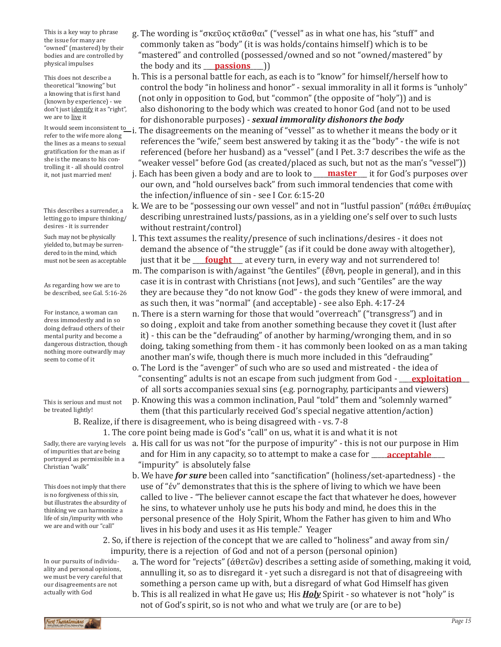This is a key way to phrase the issue for many are "owned" (mastered) by their bodies and are controlled by physical impulses

This does not describe a theoretical "knowing" but a knowing that is first hand (known by experience) - we don't just identify it as "right", we are to live it

refer to the wife more along the lines as a means to sexual gratification for the man as if she is the means to his controlling it - all should control it, not just married men!

This describes a surrender, a letting go to impure thinking/ desires - it is surrender

Such may not be physically yielded to, but may be surrendered to in the mind, which must not be seen as acceptable

As regarding how we are to be described, see Gal. 5:16-26

For instance, a woman can dress immodestly and in so doing defraud others of their mental purity and become a dangerous distraction, though nothing more outwardly may seem to come of it

This is serious and must not be treated lightly!

1. The core point being made is God's "call" on us, what it is and what it is not

of impurities that are being portrayed as permissible in a Christian "walk"

This does not imply that there is no forgiveness of this sin, but illustrates the absurdity of thinking we can harmonize a life of sin/impurity with who we are and with our "call"

- Sadly, there are varying levels  $\,$  a. His call for us was not "for the purpose of impurity" this is not our purpose in Him  $\,$ of impurities that are being **and for Him in any capacity, so to attempt to make a case for <u>\_\_\_\_<b>acceptable**</u> \_\_\_ "impurity" is absolutely false
	- b. We have *for sure* been called into "sanctification" (holiness/set-apartedness) the use of "ἐν" demonstrates that this is the sphere of living to which we have been called to live - "The believer cannot escape the fact that whatever he does, however he sins, to whatever unholy use he puts his body and mind, he does this in the personal presence of the Holy Spirit, Whom the Father has given to him and Who lives in his body and uses it as His temple." Yeager

2. So, if there is rejection of the concept that we are called to "holiness" and away from sin/ impurity, there is a rejection of God and not of a person (personal opinion)

a. The word for "rejects" (ἀθετῶν) describes a setting aside of something, making it void, annulling it, so as to disregard it - yet such a disregard is not that of disagreeing with something a person came up with, but a disregard of what God Himself has given In our pursuits of individuality and personal opinions, we must be very careful that our disagreements are not

 b. This is all realized in what He gave us; His *Holy* Spirit - so whatever is not "holy" is not of God's spirit, so is not who and what we truly are (or are to be)

- g. The wording is "σκεῦος κτᾶσθαι" ("vessel" as in what one has, his "stuff" and commonly taken as "body" (it is was holds/contains himself) which is to be "mastered" and controlled (possessed/owned and so not "owned/mastered" by the body and its **\_\_\_<u>passions</u>\_\_\_**))
- h. This is a personal battle for each, as each is to "know" for himself/herself how to control the body "in holiness and honor" - sexual immorality in all it forms is "unholy" (not only in opposition to God, but "common" (the opposite of "holy")) and is also dishonoring to the body which was created to honor God (and not to be used for dishonorable purposes) - *sexual immorality dishonors the body*
- It would seem inconsistent to i. The disagreements on the meaning of "vessel" as to whether it means the body or it<br>refer to the wife more along references the "wife," seem best answered by taking it as the "body" - the wife is not referenced (before her husband) as a "vessel" (and I Pet. 3:7 describes the wife as the "weaker vessel" before God (as created/placed as such, but not as the man's "vessel")) j. Each has been given a body and are to look to **\_\_\_\_<u>master</u> \_\_\_** it for God's purposes over

 our own, and "hold ourselves back" from such immoral tendencies that come with the infection/influence of sin - see I Cor. 6:15-20

- k. We are to be "possessing our own vessel" and not in "lustful passion" (πάθει ἐπιθυμίας describing unrestrained lusts/passions, as in a yielding one's self over to such lusts without restraint/control)
- l. This text assumes the reality/presence of such inclinations/desires it does not demand the absence of "the struggle" (as if it could be done away with altogether), just that it be <u>\_\_\_\_**fought**\_\_\_</u> at every turn, in every way and not surrendered to! m. The comparison is with/against "the Gentiles" (ἔθνη, people in general), and in this case it is in contrast with Christians (not Jews), and such "Gentiles" are the way they are because they "do not know God" - the gods they knew of were immoral, and as such then, it was "normal" (and acceptable) - see also Eph. 4:17-24
- n. There is a stern warning for those that would "overreach" ("transgress") and in so doing , exploit and take from another something because they covet it (lust after it) - this can be the "defrauding" of another by harming/wronging them, and in so doing, taking something from them - it has commonly been looked on as a man taking another man's wife, though there is much more included in this "defrauding"
- o. The Lord is the "avenger" of such who are so used and mistreated the idea of "consenting" adults is not an escape from such judgment from God - \_\_\_\_\_\_\_\_\_\_\_\_\_\_\_\_\_\_\_\_\_ **exploitation** of all sorts accompanies sexual sins (e.g. pornography, participants and viewers) p. Knowing this was a common inclination, Paul "told" them and "solemnly warned"

 them (that this particularly received God's special negative attention/action) B. Realize, if there is disagreement, who is being disagreed with - vs. 7-8

rst Thessalonians

actually with God

*Page 15*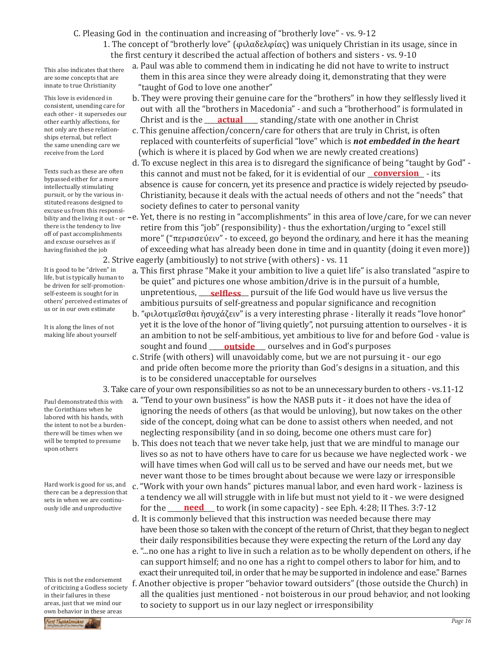C. Pleasing God in the continuation and increasing of "brotherly love" - vs. 9-12

1. The concept of "brotherly love" (φιλαδελφίας) was uniquely Christian in its usage, since in the first century it described the actual affection of bothers and sisters - vs. 9-10

This also indicates that there are some concepts that are innate to true Christianity

This love is evidenced in consistent, unending care for each other - it supersedes our other earthly affections, for not only are these relationships eternal, but reflect the same unending care we receive from the Lord

Texts such as these are often bypassed either for a more intellectually stimulating pursuit, or by the various instituted reasons designed to excuse us from this responsithere is the tendency to live off of past accomplishments and excuse ourselves as if having finished the job

It is good to be "driven" in life, but is typically human to be driven for self-promotionself-esteem is sought for in others' perceived estimates of us or in our own estimate

It is along the lines of not making life about yourself

Paul demonstrated this with the Corinthians when he labored with his hands, with the intent to not be a burdenthere will be times when we will be tempted to presume upon others

Hard work is good for us, and there can be a depression that sets in when we are continuously idle and unproductive

This is not the endorsement of criticizing a Godless society in their failures in these areas, just that we mind our own behavior in these areas



- b. They were proving their genuine care for the "brothers" in how they selflessly lived it out with all the "brothers in Macedonia" - and such a "brotherhood" is formulated in Christ and is the <u>cactual</u> standing/state with one another in Christ
- c. This genuine affection/concern/care for others that are truly in Christ, is often replaced with counterfeits of superficial "love" which is *not embedded in the heart*  (which is where it is placed by God when we are newly created creations)
- d. To excuse neglect in this area is to disregard the significance of being "taught by God" Texts such as these are often **the must and must not be faked, for it is evidential of our <u>conversion</u> - its charassed either for a more**  absence is cause for concern, yet its presence and practice is widely rejected by pseudo- Christianity, because it deals with the actual needs of others and not the "needs" that society defines to cater to personal vanity
- bility and the living it out or <code>–e. Yet, there is no resting in "accomplishments" in this area of love/care, for we can never</mark></code> retire from this "job" (responsibility) - thus the exhortation/urging to "excel still more" ("περισσεύειν" - to exceed, go beyond the ordinary, and here it has the meaning of exceeding what has already been done in time and in quantity (doing it even more)) 2. Strive eagerly (ambitiously) to not strive (with others) - vs. 11
- a. This first phrase "Make it your ambition to live a quiet life" is also translated "aspire to be quiet" and pictures one whose ambition/drive is in the pursuit of a humble, self-esteem is sought for in **unpretentious, <u>selfless</u>** pursuit of the life God would have us live versus the ambitious pursuits of self-greatness and popular significance and recognition
- b. "φιλοτιμεῖσθαι ἡσυχάζειν" is a very interesting phrase literally it reads "love honor" yet it is the love of the honor of "living quietly", not pursuing attention to ourselves - it is an ambition to not be self-ambitious, yet ambitious to live for and before God - value is sought and found \_\_\_\_\_<mark>outside</mark>\_\_\_\_ ourselves and in God's purposes
	- c. Strife (with others) will unavoidably come, but we are not pursuing it our ego and pride often become more the priority than God's designs in a situation, and this is to be considered unacceptable for ourselves

3. Take care of your own responsibilities so as not to be an unnecessary burden to others - vs.11-12

- a. "Tend to your own business" is how the NASB puts it it does not have the idea of ignoring the needs of others (as that would be unloving), but now takes on the other side of the concept, doing what can be done to assist others when needed, and not neglecting responsibility (and in so doing, become one others must care for)
- b. This does not teach that we never take help, just that we are mindful to manage our lives so as not to have others have to care for us because we have neglected work - we will have times when God will call us to be served and have our needs met, but we never want those to be times brought about because we were lazy or irresponsible c. "Work with your own hands" pictures manual labor, and even hard work - laziness is
- a tendency we all will struggle with in life but must not yield to it we were designed for the <u>need</u> to work (in some capacity) - see Eph. 4:28; II Thes. 3:7-12
- d. It is commonly believed that this instruction was needed because there may have been those so taken with the concept of the return of Christ, that they began to neglect their daily responsibilities because they were expecting the return of the Lord any day
- e. "...no one has a right to live in such a relation as to be wholly dependent on others, if he can support himself; and no one has a right to compel others to labor for him, and to exact their unrequited toil, in order that he may be supported in indolence and ease." Barnes f. Another objective is proper "behavior toward outsiders" (those outside the Church) in all the qualities just mentioned - not boisterous in our proud behavior, and not looking to society to support us in our lazy neglect or irresponsibility

First Thessalonians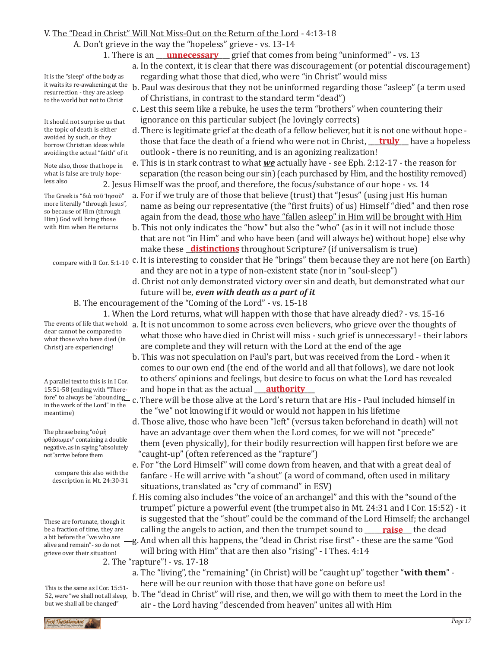## V. The "Dead in Christ" Will Not Miss-Out on the Return of the Lord - 4:13-18

A. Don't grieve in the way the "hopeless" grieve - vs. 13-14

- 1. There is an <u>eunnecessary</u> grief that comes from being "uninformed" vs. 13
	- a. In the context, it is clear that there was discouragement (or potential discouragement) regarding what those that died, who were "in Christ" would miss
	- b. Paul was desirous that they not be uninformed regarding those "asleep" (a term used of Christians, in contrast to the standard term "dead")
		- c. Lest this seem like a rebuke, he uses the term "brothers" when countering their ignorance on this particular subject (he lovingly corrects)
- d. There is legitimate grief at the death of a fellow believer, but it is not one without hope avoided by such, or they<br>borrow Christian ideas while **those that face the death of a friend who were not in Christ, <u>truly</u> have a hopeless**  outlook - there is no reuniting, and is an agonizing realization!
	- e. This is in stark contrast to what *we* actually have see Eph. 2:12-17 the reason for separation (the reason being our sin) (each purchased by Him, and the hostility removed) 2. Jesus Himself was the proof, and therefore, the focus/substance of our hope - vs. 14
		- a. For if we truly are of those that believe (trust) that "Jesus" (using just His human name as being our representative (the "first fruits) of us) Himself "died" and then rose again from the dead, those who have "fallen asleep" in Him will be brought with Him
		- b. This not only indicates the "how" but also the "who" (as in it will not include those that are not "in Him" and who have been (and will always be) without hope) else why make these \_\_\_\_\_\_\_\_\_\_\_\_\_\_\_\_ throughout Scripture? (if universalism is true) **distinctions**
	- $\frac{1}{2}$  compare with II Cor. 5:1-10 C. It is interesting to consider that He "brings" them because they are not here (on Earth) and they are not in a type of non-existent state (nor in "soul-sleep")
		- d. Christ not only demonstrated victory over sin and death, but demonstrated what our future will be, *even with death as a part of it*
		- B. The encouragement of the "Coming of the Lord" vs. 15-18
			- 1. When the Lord returns, what will happen with those that have already died? vs. 15-16
- The events of life that we hold a. It is not uncommon to some across even believers, who grieve over the thoughts of<br>deer cannot be compared to what those who have died in Christ will miss - such grief is unnecessary! - their labors are complete and they will return with the Lord at the end of the age what those who have died (in
- b. This was not speculation on Paul's part, but was received from the Lord when it comes to our own end (the end of the world and all that follows), we dare not look to others' opinions and feelings, but desire to focus on what the Lord has revealed 15:51-58 (ending with "There- and hope in that as the actual <u>authority</u> and hope in that as the actual **authority**
- fore" to always be "abounding c. There will be those alive at the Lord's return that are His Paul included himself in<br>in the work of the Lord" in the the "we" not knowing if it would or would not happen in his lifetime
	- d. Those alive, those who have been "left" (versus taken beforehand in death) will not have an advantage over them when the Lord comes, for we will not "precede" them (even physically), for their bodily resurrection will happen first before we are "caught-up" (often referenced as the "rapture")
	- e. For "the Lord Himself" will come down from heaven, and that with a great deal of fanfare - He will arrive with "a shout" (a word of command, often used in military situations, translated as "cry of command" in ESV)
- f. His coming also includes "the voice of an archangel" and this with the "sound of the trumpet" picture a powerful event (the trumpet also in Mt. 24:31 and I Cor. 15:52) - it is suggested that the "shout" could be the command of the Lord Himself; the archangel be a fraction of time, they are calling the angels to action, and then the trumpet sound to <u>raise</u> the dead g. And when all this happens, the "dead in Christ rise first" - these are the same "God

will bring with Him" that are then also "rising" - I Thes. 4:14 2. The "rapture"! - vs. 17-18

- a. The "living", the "remaining" (in Christ) will be "caught up" together "**with them**" here will be our reunion with those that have gone on before us!
- b. The "dead in Christ" will rise, and then, we will go with them to meet the Lord in the air - the Lord having "descended from heaven" unites all with Him This is the same as I Cor. 15:51- 52, were "we shall not all sleep,

It is the "sleep" of the body as it waits its re-awakening at the resurrection - they are asleep to the world but not to Christ

It should not surprise us that the topic of death is either avoided by such, or they borrow Christian ideas while avoiding the actual "faith" of it

Note also, those that hope in what is false are truly hopeless also

The Greek is "διὰ τοῦ Ἰησοῦ" more literally "through Jesus", so because of Him (through Him) God will bring those with Him when He returns

Christ) are experiencing! A parallel text to this is in I Cor.

dear cannot be compared to

15:51-58 (ending with "Therein the work of the Lord" in the meantime)

The phrase being "οὐ μὴ φθάσωμεν" containing a double negative, as in saying "absolutely not"arrive before them

compare this also with the description in Mt. 24:30-31

These are fortunate, though it be a fraction of time, they are a bit before the "we who are alive and remain"- so do not grieve over their situation!

but we shall all be changed"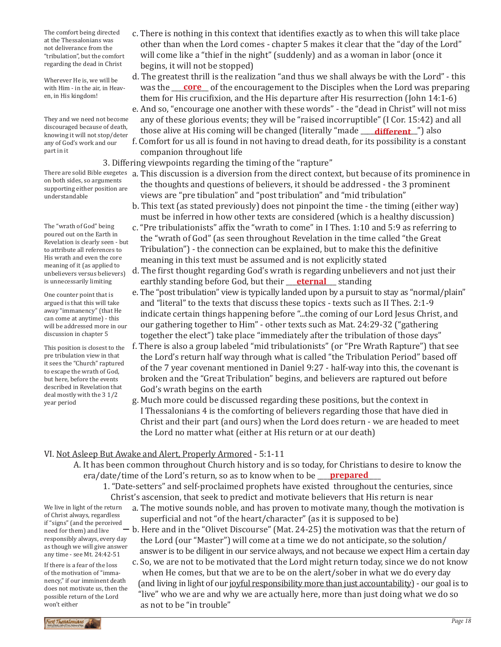The comfort being directed at the Thessalonians was not deliverance from the "tribulation", but the comfort regarding the dead in Christ

Wherever He is, we will be with Him - in the air, in Heaven, in His kingdom!

They and we need not become discouraged because of death, knowing it will not stop/deter any of God's work and our part in it

on both sides, so arguments supporting either position are understandable

The "wrath of God" being poured out on the Earth in Revelation is clearly seen - but to attribute all references to His wrath and even the core meaning of it (as applied to unbelievers versus believers) is unnecessarily limiting

One counter point that is argued is that this will take away "immanency" (that He can come at anytime) - this will be addressed more in our discussion in chapter 5

This position is closest to the pre tribulation view in that it sees the "Church" raptured to escape the wrath of God, but here, before the events described in Revelation that deal mostly with the 3 1/2 year period

- c. There is nothing in this context that identifies exactly as to when this will take place other than when the Lord comes - chapter 5 makes it clear that the "day of the Lord" will come like a "thief in the night" (suddenly) and as a woman in labor (once it begins, it will not be stopped)
- d. The greatest thrill is the realization "and thus we shall always be with the Lord" this was the <u>core</u> of the encouragement to the Disciples when the Lord was preparing them for His crucifixion, and the His departure after His resurrection (John 14:1-6) e. And so, "encourage one another with these words" - the "dead in Christ" will not miss

 any of these glorious events; they will be "raised incorruptible" (I Cor. 15:42) and all those alive at His coming will be changed (literally "made \_\_\_\_**different\_**") also

 f. Comfort for us all is found in not having to dread death, for its possibility is a constant companion throughout life

3. Differing viewpoints regarding the timing of the "rapture"

- There are solid Bible exegetes ) a. This discussion is a diversion from the direct context, but because of its prominence in<br>on heth sides as exampate the thoughts and questions of believers, it should be addressed - the 3 prominent views are "pre tibulation" and "post tribulation" and "mid tribulation"
	- b. This text (as stated previously) does not pinpoint the time the timing (either way) must be inferred in how other texts are considered (which is a healthy discussion)
	- c. "Pre tribulationists" affix the "wrath to come" in I Thes. 1:10 and 5:9 as referring to the "wrath of God" (as seen throughout Revelation in the time called "the Great Tribulation") - the connection can be explained, but to make this the definitive meaning in this text must be assumed and is not explicitly stated
- d. The first thought regarding God's wrath is regarding unbelievers and not just their is unnecessarily limiting earthly standing before God, but their <u>eternal</u> standing
	- e. The "post tribulation" view is typically landed upon by a pursuit to stay as "normal/plain" and "literal" to the texts that discuss these topics - texts such as II Thes. 2:1-9 indicate certain things happening before "...the coming of our Lord Jesus Christ, and our gathering together to Him" - other texts such as Mat. 24:29-32 ("gathering together the elect") take place "immediately after the tribulation of those days"
	- f. There is also a group labeled "mid tribulationists" (or "Pre Wrath Rapture") that see the Lord's return half way through what is called "the Tribulation Period" based off of the 7 year covenant mentioned in Daniel 9:27 - half-way into this, the covenant is broken and the "Great Tribulation" begins, and believers are raptured out before God's wrath begins on the earth
	- g. Much more could be discussed regarding these positions, but the context in I Thessalonians 4 is the comforting of believers regarding those that have died in Christ and their part (and ours) when the Lord does return - we are headed to meet the Lord no matter what (either at His return or at our death)

# VI. Not Asleep But Awake and Alert, Properly Armored - 5:1-11

- A. It has been common throughout Church history and is so today, for Christians to desire to know the era/date/time of the Lord's return, so as to know when to be <u>prepared</u>
	- 1. "Date-setters" and self-proclaimed prophets have existed throughout the centuries, since Christ's ascension, that seek to predict and motivate believers that His return is near
		- a. The motive sounds noble, and has proven to motivate many, though the motivation is superficial and not "of the heart/character" (as it is supposed to be)

 $-$  b. Here and in the "Olivet Discourse" (Mat. 24-25) the motivation was that the return of the Lord (our "Master") will come at a time we do not anticipate, so the solution/ answer is to be diligent in our service always, and not because we expect Him a certain day

 c. So, we are not to be motivated that the Lord might return today, since we do not know when He comes, but that we are to be on the alert/sober in what we do every day (and living in light of our joyful responsibility more than just accountability) - our goal is to "live" who we are and why we are actually here, more than just doing what we do so as not to be "in trouble"

We live in light of the return of Christ always, regardless if "signs" (and the perceived need for them) and live responsibly always, every day as though we will give answer any time - see Mt. 24:42-51

If there is a fear of the loss of the motivation of "immanency," if our imminent death does not motivate us, then the possible return of the Lord won't either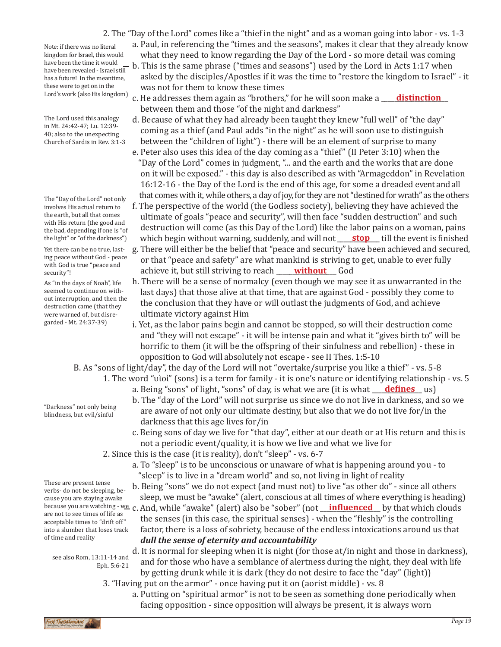Note: if there was no literal kingdom for Israel, this would have been revealed - Israel still has a future! In the meantime, these were to get on in the Lord's work (also His kingdom)

The Lord used this analogy in Mt. 24:42-47; Lu. 12:39- 40; also to the unexpecting Church of Sardis in Rev. 3:1-3

The "Day of the Lord" not only involves His actual return to the earth, but all that comes with His return (the good and the bad, depending if one is "of the light" or "of the darkness")

Yet there can be no true, lasting peace without God - peace with God is true "peace and security"!

As "in the days of Noah", life seemed to continue on without interruption, and then the destruction came (that they were warned of, but disregarded - Mt. 24:37-39)

"Darkness" not only being blindness, but evil/sinful

- a. Paul, in referencing the "times and the seasons", makes it clear that they already know what they need to know regarding the Day of the Lord - so more detail was coming
- have been the time it would <sub>—</sub> b. This is the same phrase ("times and seasons") used by the Lord in Acts 1:17 when<br>have been revealed Israel still asked by the disciples/Apostles if it was the time to "restore the kingdom to Israel" - it was not for them to know these times
	- c. He addresses them again as "brothers," for he will soon make a **\_\_\_\_\_<u>distinction</u>\_\_\_** between them and those "of the night and darkness"
	- d. Because of what they had already been taught they knew "full well" of "the day" coming as a thief (and Paul adds "in the night" as he will soon use to distinguish between the "children of light") - there will be an element of surprise to many
	- e. Peter also uses this idea of the day coming as a "thief" (II Peter 3:10) when the "Day of the Lord" comes in judgment, "... and the earth and the works that are done on it will be exposed." - this day is also described as with "Armageddon" in Revelation 16:12-16 - the Day of the Lord is the end of this age, for some a dreaded event and all that comes with it, while others, a day of joy, for they are not "destined for wrath" as the others
	- f. The perspective of the world (the Godless society), believing they have achieved the ultimate of goals "peace and security", will then face "sudden destruction" and such destruction will come (as this Day of the Lord) like the labor pains on a woman, pains which begin without warning, suddenly, and will not **\_\_\_\_\_\_\_\_\_\_\_\_\_\_\_\_\_\_\_\_\_** till the event is finished
- g. There will either be the belief that "peace and security" have been achieved and secured, or that "peace and safety" are what mankind is striving to get, unable to ever fully achieve it, but still striving to reach <u>without</u> God
	- h. There will be a sense of normalcy (even though we may see it as unwarranted in the last days) that those alive at that time, that are against God - possibly they come to the conclusion that they have or will outlast the judgments of God, and achieve ultimate victory against Him
	- i. Yet, as the labor pains begin and cannot be stopped, so will their destruction come and "they will not escape" - it will be intense pain and what it "gives birth to" will be horrific to them (it will be the offspring of their sinfulness and rebellion) - these in opposition to God will absolutely not escape - see II Thes. 1:5-10

B. As "sons of light/day", the day of the Lord will not "overtake/surprise you like a thief" - vs. 5-8

- 1. The word "υἱοὶ" (sons) is a term for family it is one's nature or identifying relationship vs. 5
	- a. Being "sons" of light, "sons" of day, is what we are (it is what <u>\_\_\_\_**defines\_\_\_**\_</u> us)
	- b. The "day of the Lord" will not surprise us since we do not live in darkness, and so we are aware of not only our ultimate destiny, but also that we do not live for/in the darkness that this age lives for/in
	- c. Being sons of day we live for "that day", either at our death or at His return and this is not a periodic event/quality, it is how we live and what we live for
- 2. Since this is the case (it is reality), don't "sleep" vs. 6-7
	- a. To "sleep" is to be unconscious or unaware of what is happening around you to "sleep" is to live in a "dream world" and so, not living in light of reality
- b. Being "sons" we do not expect (and must not) to live "as other do" since all others sleep, we must be "awake" (alert, conscious at all times of where everything is heading) because you are watching - we c. And, while "awake" (alert) also be "sober" (not <u>\_\_**influenced**</u> by that which clouds are not to see times of life as
	- the senses (in this case, the spiritual senses) when the "fleshly" is the controlling factor, there is a loss of sobriety, because of the endless intoxications around us that *dull the sense of eternity and accountability*

d. It is normal for sleeping when it is night (for those at/in night and those in darkness), and for those who have a semblance of alertness during the night, they deal with life by getting drunk while it is dark (they do not desire to face the "day" (light))

- 3. "Having put on the armor" once having put it on (aorist middle) vs. 8
	- a. Putting on "spiritual armor" is not to be seen as something done periodically when facing opposition - since opposition will always be present, it is always worn

These are present tense verbs- do not be sleeping, because you are staying awake are not to see times of life as acceptable times to "drift off" into a slumber that loses track of time and reality

see also Rom, 13:11-14 and Eph. 5:6-21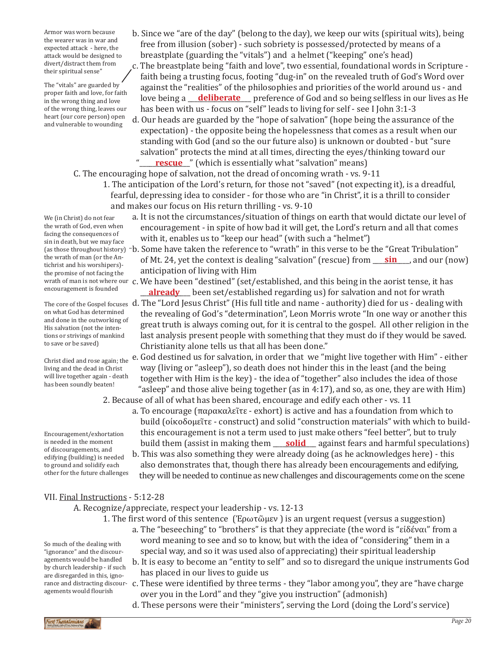Armor was worn because the wearer was in war and expected attack - here, the attack would be designed to divert/distract them from their spiritual sense"

The "vitals" are guarded by proper faith and love, for faith in the wrong thing and love of the wrong thing, leaves our heart (our core person) open and vulnerable to wounding

b. Since we "are of the day" (belong to the day), we keep our wits (spiritual wits), being free from illusion (sober) - such sobriety is possessed/protected by means of a breastplate (guarding the "vitals") and a helmet ("keeping" one's head)

c. The breastplate being "faith and love", two essential, foundational words in Scripture faith being a trusting focus, footing "dug-in" on the revealed truth of God's Word over against the "realities" of the philosophies and priorities of the world around us - and love being a **deliberate** preference of God and so being selfless in our lives as He has been with us - focus on "self" leads to living for self - see I John 3:1-3

d. Our heads are guarded by the "hope of salvation" (hope being the assurance of the expectation) - the opposite being the hopelessness that comes as a result when our standing with God (and so the our future also) is unknown or doubted - but "sure salvation" protects the mind at all times, directing the eyes/thinking toward our "**\_\_\_\_<u>\_\_\_\_\_\_\_\_\_\_\_</u>"** (which is essentially what "salvation" means)

 the revealing of God's "determination", Leon Morris wrote "In one way or another this great truth is always coming out, for it is central to the gospel. All other religion in the last analysis present people with something that they must do if they would be saved.

 way (living or "asleep"), so death does not hinder this in the least (and the being together with Him is the key) - the idea of "together" also includes the idea of those "asleep" and those alive being together (as in 4:17), and so, as one, they are with Him)

a. To encourage (παρακαλεῖτε - exhort) is active and has a foundation from which to

 build (οἰκοδομεῖτε - construct) and solid "construction materials" with which to build this encouragement is not a term used to just make others "feel better", but to truly build them (assist in making them <u>solid</u> against fears and harmful speculations) b. This was also something they were already doing (as he acknowledges here) - this also demonstrates that, though there has already been encouragements and edifying, they will be needed to continue as new challenges and discouragements come on the scene

C. The encouraging hope of salvation, not the dread of oncoming wrath - vs. 9-11

Christianity alone tells us that all has been done."

2. Because of all of what has been shared, encourage and edify each other - vs. 11

- 1. The anticipation of the Lord's return, for those not "saved" (not expecting it), is a dreadful, fearful, depressing idea to consider - for those who are "in Christ", it is a thrill to consider and makes our focus on His return thrilling - vs. 9-10
- a. It is not the circumstances/situation of things on earth that would dictate our level of encouragement - in spite of how bad it will get, the Lord's return and all that comes with it, enables us to "keep our head" (with such a "helmet") (as those throughout history) -b. Some have taken the reference to "wrath" in this verse to be the "Great Tribulation" of Mt. 24, yet the context is dealing "salvation" (rescue) from <u>sin</u>, and our (now) anticipation of living with Him wrath of man is not where our  $\,$  c. We have been "destined" (set/established, and this being in the aorist tense, it has  $\,$ **11 A.1 A.2** been set/established regarding us) for salvation and not for wrath We (in Christ) do not fear the wrath of God, even when facing the consequences of sin in death, but we may face the wrath of man (or the Antichrist and his worshipers) the promise of not facing the encouragement is founded

The core of the Gospel focuses  $\,$  d. The "Lord Jesus Christ" (His full title and name - authority) died for us - dealing with on what God has determined and done in the outworking of His salvation (not the intentions or strivings of mankind to save or be saved)

e. God destined us for salvation, in order that we "might live together with Him" - either Christ died and rose again; the living and the dead in Christ will live together again - death has been soundly beaten!

Encouragement/exhortation is needed in the moment of discouragements, and edifying (building) is needed to ground and solidify each other for the future challenges

A. Recognize/appreciate, respect your leadership - vs. 12-13

- 1. The first word of this sentence (Ἐρωτῶμεν ) is an urgent request (versus a suggestion)
	- a. The "beseeching" to "brothers" is that they appreciate (the word is "εἰδέναι" from a word meaning to see and so to know, but with the idea of "considering" them in a special way, and so it was used also of appreciating) their spiritual leadership
	- b. It is easy to become an "entity to self" and so to disregard the unique instruments God has placed in our lives to guide us
- rance and distracting discour- c. These were identified by three terms they "labor among you", they are "have charge over you in the Lord" and they "give you instruction" (admonish)
	- d. These persons were their "ministers", serving the Lord (doing the Lord's service)

VII. Final Instructions - 5:12-28

So much of the dealing with "ignorance" and the discouragements would be handled by church leadership - if such are disregarded in this, ignoagements would flourish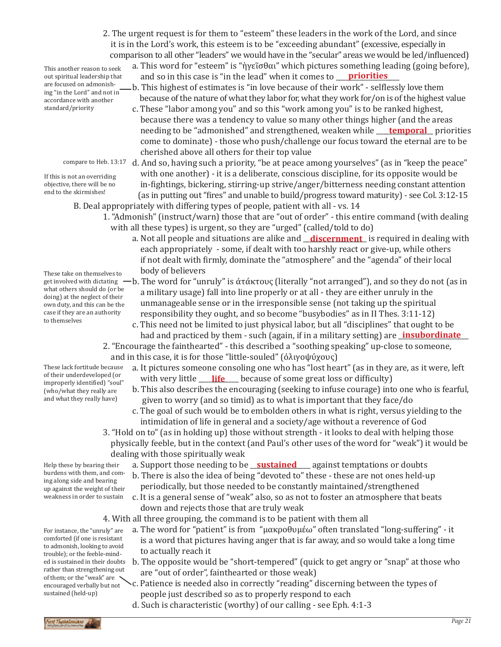2. The urgent request is for them to "esteem" these leaders in the work of the Lord, and since it is in the Lord's work, this esteem is to be "exceeding abundant" (excessive, especially in comparison to all other "leaders" we would have in the "secular" areas we would be led/influenced)

This another reason to seek out spiritual leadership that are focused on admonishing "in the Lord" and not in accordance with another standard/priority

If this is not an overriding objective, there will be no

- end to the skirmishes!
- These take on themselves to body of believers what others should do (or be doing) at the neglect of their own duty, and this can be the case if they are an authority to themselves
- These lack fortitude because of their underdeveloped (or improperly identified) "soul" (who/what they really are and what they really have)
- Help these by bearing their burdens with them, and coming along side and bearing up against the weight of their weakness in order to sustain
- trouble); or the feeble-mind-<br>  $\begin{bmatrix} 1 & 1 \end{bmatrix}$  to actually reach it For instance, the "unruly" are comforted (if one is resistant to admonish, looking to avoid ed is sustained in their doubts rather than strengthening out of them; or the "weak" are encouraged verbally but not sustained (held-up)
- a. This word for "esteem" is "ἡγεῖσθαι" which pictures something leading (going before), and so in this case is "in the lead" when it comes to **priorities**
- b. This highest of estimates is "in love because of their work" selflessly love them because of the nature of what they labor for, what they work for/on is of the highest value
- c. These "labor among you" and so this "work among you" is to be ranked highest, because there was a tendency to value so many other things higher (and the areas needing to be "admonished" and strengthened, weaken while <u>Jemporal</u> priorities come to dominate) - those who push/challenge our focus toward the eternal are to be cherished above all others for their top value
- compare to Heb. 13:17  $\,$  d. And so, having such a priority, "be at peace among yourselves" (as in "keep the peace" with one another) - it is a deliberate, conscious discipline, for its opposite would be in-fightings, bickering, stirring-up strive/anger/bitterness needing constant attention (as in putting out "fires" and unable to build/progress toward maturity) - see Col. 3:12-15
	- B. Deal appropriately with differing types of people, patient with all vs. 14
		- 1. "Admonish" (instruct/warn) those that are "out of order" this entire command (with dealing with all these types) is urgent, so they are "urged" (called/told to do)
			- a. Not all people and situations are alike and <u>\_**\_discernment\_** is required in dealing with</u> each appropriately - some, if dealt with too harshly react or give-up, while others if not dealt with firmly, dominate the "atmosphere" and the "agenda" of their local
- get involved with dictating b. The word for "unruly" is άτάκτους (literally "not arranged"), and so they do not (as in ) a military usage) fall into line properly or at all - they are either unruly in the unmanageable sense or in the irresponsible sense (not taking up the spiritual responsibility they ought, and so become "busybodies" as in II Thes. 3:11-12)
	- c. This need not be limited to just physical labor, but all "disciplines" that ought to be had and practiced by them - such (again, if in a military setting) are **insubordinate**
	- 2. "Encourage the fainthearted" this described a "soothing speaking" up-close to someone, and in this case, it is for those "little-souled" (ὀλιγοψύχους)
		- a. It pictures someone consoling one who has "lost heart" (as in they are, as it were, left with very little <u>\_\_\_\_**life** \_</u>\_\_\_ because of some great loss or difficulty)
		- b. This also describes the encouraging (seeking to infuse courage) into one who is fearful, given to worry (and so timid) as to what is important that they face/do
		- c. The goal of such would be to embolden others in what is right, versus yielding to the intimidation of life in general and a society/age without a reverence of God
	- 3. "Hold on to" (as in holding up) those without strength it looks to deal with helping those physically feeble, but in the context (and Paul's other uses of the word for "weak") it would be dealing with those spiritually weak
- Help these by bearing their a. Support those needing to be <u>sustained</u> against temptations or doubts
	- b. There is also the idea of being "devoted to" these these are not ones held-up periodically, but those needed to be constantly maintained/strengthened
	- c. It is a general sense of "weak" also, so as not to foster an atmosphere that beats down and rejects those that are truly weak
	- 4. With all three grouping, the command is to be patient with them all
		- a. The word for "patient" is from "μακροθυμέω" often translated "long-suffering" it is a word that pictures having anger that is far away, and so would take a long time
			- b. The opposite would be "short-tempered" (quick to get angry or "snap" at those who are "out of order", fainthearted or those weak)
			- c. Patience is needed also in correctly "reading" discerning between the types of people just described so as to properly respond to each
			- d. Such is characteristic (worthy) of our calling see Eph. 4:1-3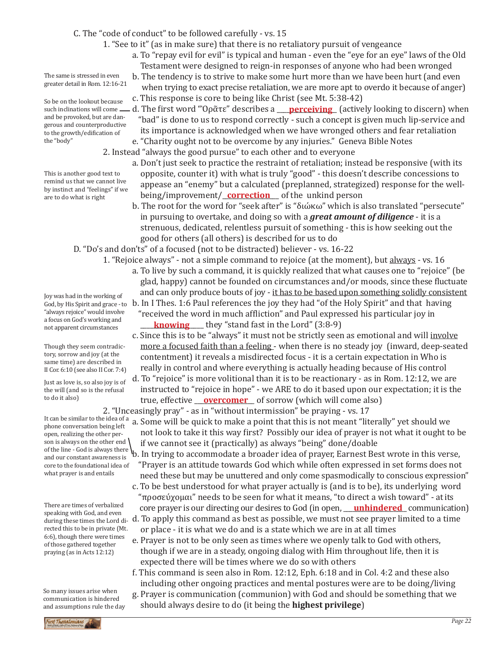## C. The "code of conduct" to be followed carefully - vs. 15

- 1. "See to it" (as in make sure) that there is no retaliatory pursuit of vengeance
	- a. To "repay evil for evil" is typical and human even the "eye for an eye" laws of the Old Testament were designed to reign-in responses of anyone who had been wronged
	- b. The tendency is to strive to make some hurt more than we have been hurt (and even when trying to exact precise retaliation, we are more apt to overdo it because of anger)
	- c. This response is core to being like Christ (see Mt. 5:38-42)
	- d. The first word "Όρᾶτε" describes a **\_\_\_\_<u>perceiving</u>\_\_** (actively looking to discern) when "bad" is done to us to respond correctly - such a concept is given much lip-service and its importance is acknowledged when we have wronged others and fear retaliation
- e. "Charity ought not to be overcome by any injuries." Geneva Bible Notes 2. Instead "always the good pursue" to each other and to everyone
	- a. Don't just seek to practice the restraint of retaliation; instead be responsive (with its opposite, counter it) with what is truly "good" - this doesn't describe concessions to
		- appease an "enemy" but a calculated (preplanned, strategized) response for the well being/improvement/**\_correction** \_ of the unkind person
		- b. The root for the word for "seek after" is "διώκω" which is also translated "persecute" in pursuing to overtake, and doing so with a *great amount of diligence* - it is a strenuous, dedicated, relentless pursuit of something - this is how seeking out the good for others (all others) is described for us to do

D. "Do's and don'ts" of a focused (not to be distracted) believer - vs. 16-22

- 1. "Rejoice always" not a simple command to rejoice (at the moment), but always vs. 16 a. To live by such a command, it is quickly realized that what causes one to "rejoice" (be glad, happy) cannot be founded on circumstances and/or moods, since these fluctuate
- and can only produce bouts of joy it has to be based upon something solidly consistent God, by His Spirit and grace - to b. In I Thes. 1:6 Paul references the joy they had "of the Holy Spirit" and that having
	- "received the word in much affliction" and Paul expressed his particular joy in **knowing** they "stand fast in the Lord" (3:8-9)
	- c. Since this is to be "always" it must not be strictly seen as emotional and will involve more a focused faith than a feeling - when there is no steady joy (inward, deep-seated contentment) it reveals a misdirected focus - it is a certain expectation in Who is really in control and where everything is actually heading because of His control
	- d. To "rejoice" is more volitional than it is to be reactionary as in Rom. 12:12, we are instructed to "rejoice in hope" - we ARE to do it based upon our expectation; it is the true, effective <u>\_\_**overcomer**\_\_</u> of sorrow (which will come also)

2. "Unceasingly pray" - as in "without intermission" be praying - vs. 17

- a. Some will be quick to make a point that this is not meant "literally" yet should we not look to take it this way first? Possibly our idea of prayer is not what it ought to be if we cannot see it (practically) as always "being" done/doable
- of the line God is always there **\b.** In trying to accommodate a broader idea of prayer, Earnest Best wrote in this verse, "Prayer is an attitude towards God which while often expressed in set forms does not need these but may be unuttered and only come spasmodically to conscious expression"
	- c. To be best understood for what prayer actually is (and is to be), its underlying word "προσεύχομαι" needs to be seen for what it means, "to direct a wish toward" - at its core prayer is our directing our desires to God (in open, <u>unhindered</u> communication)
	- d. To apply this command as best as possible, we must not see prayer limited to a time or place - it is what we do and is a state which we are in at all times
	- e. Prayer is not to be only seen as times where we openly talk to God with others, though if we are in a steady, ongoing dialog with Him throughout life, then it is expected there will be times where we do so with others
	- f. This command is seen also in Rom. 12:12, Eph. 6:18 and in Col. 4:2 and these also including other ongoing practices and mental postures were are to be doing/living
	- g. Prayer is communication (communion) with God and should be something that we should always desire to do (it being the **highest privilege**)

The same is stressed in even greater detail in Rom. 12:16-21

So be on the lookout because such inclinations will come and be provoked, but are dangerous and counterproductive to the growth/edification of the "body"

This is another good text to remind us that we cannot live by instinct and "feelings" if we are to do what is right

Joy was had in the working of "always rejoice" would involve a focus on God's working and not apparent circumstances

Though they seem contradictory, sorrow and joy (at the same time) are described in II Cor. 6:10 (see also II Cor. 7:4)

Just as love is, so also joy is of the will (and so is the refusal to do it also)

It can be similar to the idea of a phone conversation being left open, realizing the other person is always on the other end and our constant awareness is core to the foundational idea of what prayer is and entails

There are times of verbalized speaking with God, and even during these times the Lord directed this to be in private (Mt. 6:6), though there were times of those gathered together praying (as in Acts 12:12)

So many issues arise when communication is hindered and assumptions rule the day

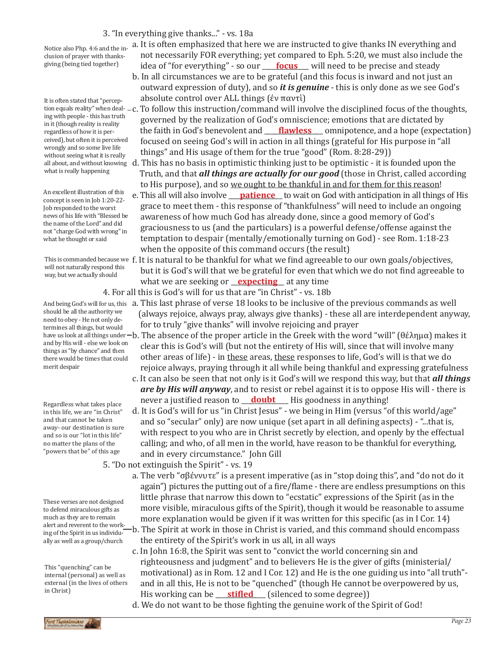## 3. "In everything give thanks..." - vs. 18a

Notice also Php. 4:6 and the inclusion of prayer with thanksgiving (being tied together)

It is often stated that "perceping with people - this has truth in it (though reality is reality regardless of how it is perceived), but often it is perceived wrongly and so some live life without seeing what it is really what is really happening

An excellent illustration of this concept is seen in Job 1:20-22- Job responded to the worst news of his life with "Blessed be the name of the Lord" and did not "charge God with wrong" in what he thought or said

This is commanded because we f. will not naturally respond this way, but we actually should

should be all the authority we need to obey - He not only determines all things, but would and by His will - else we look on things as "by chance" and then there would be times that could merit despair

Regardless what takes place in this life, we are "in Christ" and that cannot be taken away- our destination is sure and so is our "lot in this life" no matter the plans of the "powers that be" of this age

These verses are not designed to defend miraculous gifts as much as they are to remain alert and reverent to the working of the Spirit in us individually as well as a group/church

This "quenching" can be internal (personal) as well as external (in the lives of others in Christ)

- a. It is often emphasized that here we are instructed to give thanks IN everything and not necessarily FOR everything; yet compared to Eph. 5:20, we must also include the idea of "for everything" - so our <u>\_\_\_\_ **focus**\_\_\_</u> will need to be precise and steady
- b. In all circumstances we are to be grateful (and this focus is inward and not just an outward expression of duty), and so *it is genuine* - this is only done as we see God's absolute control over ALL things (ἐν παντὶ)
- tion equals reality" when deal- c. To follow this instruction/command will involve the disciplined focus of the thoughts,<br>insuith assals, this bastactic governed by the realization of God's omniscience; emotions that are dictated by the faith in God's benevolent and **\_\_\_\_\_\_\_\_\_\_\_\_\_\_\_\_\_\_\_\_\_\_\_** omnipotence, and a hope (expectation) focused on seeing God's will in action in all things (grateful for His purpose in "all things" and His usage of them for the true "good" (Rom. 8:28-29))
- all about, and without knowing d. This has no basis in optimistic thinking just to be optimistic it is founded upon the Truth, and that *all things are actually for our good* (those in Christ, called according to His purpose), and so we ought to be thankful in and for them for this reason!
- An excellent illustration of this e. This all will also involve <u>patience</u> to wait on God with anticipation in all things of His concent is seen in Iob 1:20-22 grace to meet them - this response of "thankfulness" will need to include an ongoing awareness of how much God has already done, since a good memory of God's graciousness to us (and the particulars) is a powerful defense/offense against the temptation to despair (mentally/emotionally turning on God) - see Rom. 1:18-23 when the opposite of this command occurs (the result)
- It is natural to be thankful for what we find agreeable to our own goals/objectives, but it is God's will that we be grateful for even that which we do not find agreeable to what we are seeking or <u>expecting</u> at any time
	- 4. For all this is God's will for us that are "in Christ" vs. 18b
- And being God's will for us, this (a. This last phrase of verse 18 looks to be inclusive of the previous commands as well (always rejoice, always pray, always give thanks) - these all are interdependent anyway, for to truly "give thanks" will involve rejoicing and prayer
- have us look at all things under—b. The absence of the proper article in the Greek with the word "will" (θέλημα) makes it<br>have us look at all things under—b. The absence of the proper article in the Greek with the word "w clear this is God's will (but not the entirety of His will, since that will involve many other areas of life) - in these areas, these responses to life, God's will is that we do rejoice always, praying through it all while being thankful and expressing gratefulness
	- c. It can also be seen that not only is it God's will we respond this way, but that *all things are by His will anyway*, and to resist or rebel against it is to oppose His will - there is never a justified reason to **doubt** His goodness in anything!
	- d. It is God's will for us "in Christ Jesus" we being in Him (versus "of this world/age" and so "secular" only) are now unique (set apart in all defining aspects) - "...that is, with respect to you who are in Christ secretly by election, and openly by the effectual calling; and who, of all men in the world, have reason to be thankful for everything, and in every circumstance." John Gill

5. "Do not extinguish the Spirit" - vs. 19

- a. The verb "σβέννυτε" is a present imperative (as in "stop doing this", and "do not do it again") pictures the putting out of a fire/flame - there are endless presumptions on this little phrase that narrow this down to "ecstatic" expressions of the Spirit (as in the more visible, miraculous gifts of the Spirit), though it would be reasonable to assume more explanation would be given if it was written for this specific (as in I Cor. 14)
- b. The Spirit at work in those in Christ is varied, and this command should encompass the entirety of the Spirit's work in us all, in all ways
- c. In John 16:8, the Spirit was sent to "convict the world concerning sin and righteousness and judgment" and to believers He is the giver of gifts (ministerial/ motivational) as in Rom. 12 and I Cor. 12) and He is the one guiding us into "all truth" and in all this, He is not to be "quenched" (though He cannot be overpowered by us, His working can be <u>stifled</u> (silenced to some degree))
- d. We do not want to be those fighting the genuine work of the Spirit of God!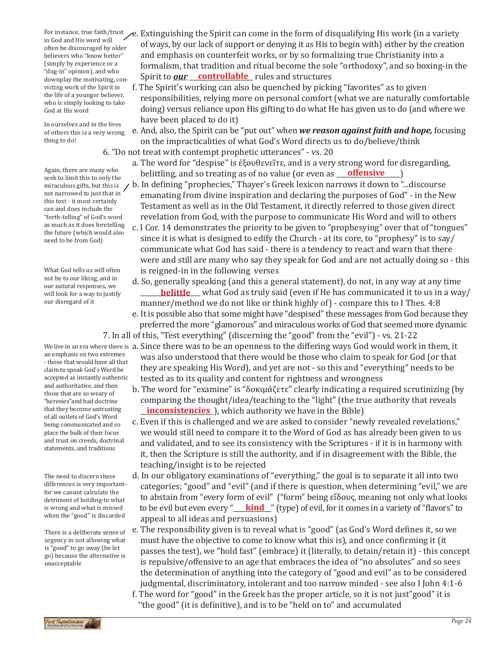in God and His word will often be discouraged by older believers who "know better" (simply by experience or a "dug-in" opinion), and who downplay the motivating, convicting work of the Spirit in the life of a younger believer, who is simply looking to take God at His word

In ourselves and in the lives of others this is a very wrong thing to do!

Again, there are many who<br>seek to limit this to only the miraculous gifts, but this is not narrowed to just that in this text - it most certainly can and does include the "forth-telling" of God's word as much as it does foretelling the future (which would also need to be from God)

What God tells us will often not be to our liking, and in our natural responses, we will look for a way to justify our disregard of it

an emphasis on two extremes - those that would have all that

claim to speak God's Word be accepted as instantly authentic and authoritative, and then those that are so weary of "heresies"and bad doctrine that they become untrusting of all outlets of God's Word being communicated and so place the bulk of their focus and trust on creeds, doctrinal statements, and traditions

The need to discern these differences is very importantfor we cannot calculate the detriment of holding-to what is wrong and what is missed when the "good" is discarded

There is a deliberate sense of urgency in not allowing what is "good" to go away (be let go) because the alternative is unacceptable

- For instance, true faith/trust e. Extinguishing the Spirit can come in the form of disqualifying His work (in a variety production). of ways, by our lack of support or denying it as His to begin with) either by the creation and emphasis on counterfeit works, or by so formalizing true Christianity into a formalism, that tradition and ritual become the sole "orthodoxy", and so boxing-in the downplay the motivating, con-<br>
Spirit to *our* <u>controllable</u> rules and structures
	- f. The Spirit's working can also be quenched by picking "favorites" as to given responsibilities, relying more on personal comfort (what we are naturally comfortable doing) versus reliance upon His gifting to do what He has given us to do (and where we have been placed to do it)
	- e. And, also, the Spirit can be "put out" when *we reason against faith and hope,* focusing on the impracticalities of what God's Word directs us to do/believe/think 6. "Do not treat with contempt prophetic utterances" - vs. 20
		- a. The word for "despise" is ἐξουθενεῖτε, and is a very strong word for disregarding, belittling, and so treating as of no value (or even as **\_\_\_\_\_\_\_\_\_\_\_\_\_\_\_\_\_\_\_\_\_\_\_**)
- seek to limit this to only the constraining, all the containing as seek to the constraint  $(e)$  with the construction of "...discourse" in a set to limit this to only the constraining "prophecies," Thayer's Greek lexicon na emanating from divine inspiration and declaring the purposes of God" - in the New Testament as well as in the Old Testament, it directly referred to those given direct revelation from God, with the purpose to communicate His Word and will to others
	- c. I Cor. 14 demonstrates the priority to be given to "prophesying" over that of "tongues" since it is what is designed to edify the Church - at its core, to "prophesy" is to say/ communicate what God has said - there is a tendency to react and warn that there were and still are many who say they speak for God and are not actually doing so - this is reigned-in in the following verses
	- d. So, generally speaking (and this a general statement), do not, in any way at any time **<u>belittle</u>** what God as truly said (even if He has communicated it to us in a way/ manner/method we do not like or think highly of) - compare this to I Thes. 4:8
	- e. It is possible also that some might have "despised" these messages from God because they preferred the more "glamorous" and miraculous works of God that seemed more dynamic 7. In all of this, "Test everything" (discerning the "good" from the "evil") - vs. 21-22
- We live in an era where there is a. Since there was to be an openness to the differing ways God would work in them, it was also understood that there would be those who claim to speak for God (or that they are speaking His Word), and yet are not - so this and "everything" needs to be tested as to its quality and content for rightness and wrongness
	- b. The word for "examine" is "δοκιμάζετε" clearly indicating a required scrutinizing (by comparing the thought/idea/teaching to the "light" (the true authority that reveals **<u>inconsistencies</u>**, which authority we have in the Bible)
	- c. Even if this is challenged and we are asked to consider "newly revealed revelations," we would still need to compare it to the Word of God as has already been given to us and validated, and to see its consistency with the Scriptures - if it is in harmony with it, then the Scripture is still the authority, and if in disagreement with the Bible, the teaching/insight is to be rejected
	- d. In our obligatory examinations of "everything," the goal is to separate it all into two categories; "good" and "evil" (and if there is question, when determining "evil," we are to abstain from "every form of evil" ("form" being εἴδους, meaning not only what looks to be evil but even every "**kind** " (type) of evil, for it comes in a variety of "flavors" to appeal to all ideas and persuasions)
	- e. The responsibility given is to reveal what is "good" (as God's Word defines it, so we must have the objective to come to know what this is), and once confirming it (it passes the test), we "hold fast" (embrace) it (literally, to detain/retain it) - this concept is repulsive/offensive to an age that embraces the idea of "no absolutes" and so sees the determination of anything into the category of "good and evil" as to be considered judgmental, discriminatory, intolerant and too narrow minded - see also I John 4:1-6
	- f. The word for "good" in the Greek has the proper article, so it is not just"good" it is ''the good" (it is definitive), and is to be "held on to" and accumulated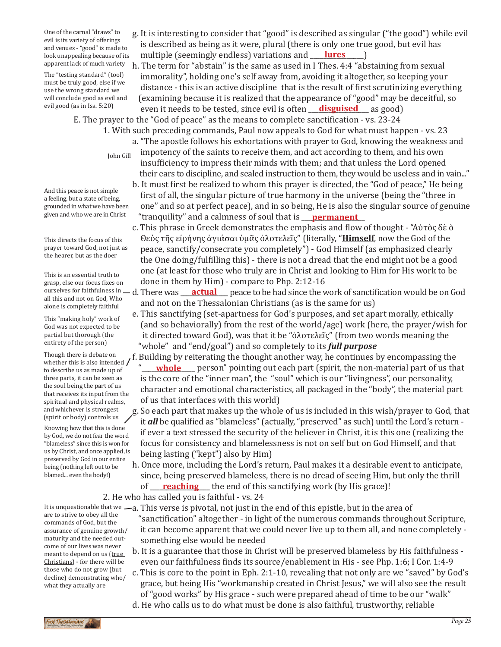One of the carnal "draws" to evil is its variety of offerings and venues - "good" is made to look unappealing because of its apparent lack of much variety

The "testing standard" (tool) must be truly good, else if we use the wrong standard we will conclude good as evil and evil good (as in Isa. 5:20)

- g. It is interesting to consider that "good" is described as singular ("the good") while evil is described as being as it were, plural (there is only one true good, but evil has multiple (seemingly endless) variations and <u>\_\_\_\_\_\_\_\_\_\_\_\_\_\_\_\_</u>\_\_\_\_\_\_\_\_\_\_\_\_\_\_\_\_\_\_\_
- h. The term for "abstain" is the same as used in I Thes. 4:4 "abstaining from sexual immorality", holding one's self away from, avoiding it altogether, so keeping your distance - this is an active discipline that is the result of first scrutinizing everything (examining because it is realized that the appearance of "good" may be deceitful, so

even it needs to be tested, since evil is often <u>disguised</u> as good) E. The prayer to the "God of peace" as the means to complete sanctification - vs. 23-24

- 1. With such preceding commands, Paul now appeals to God for what must happen vs. 23
	- a. "The apostle follows his exhortations with prayer to God, knowing the weakness and impotency of the saints to receive them, and act according to them, and his own insufficiency to impress their minds with them; and that unless the Lord opened their ears to discipline, and sealed instruction to them, they would be useless and in vain..."
	- b. It must first be realized to whom this prayer is directed, the "God of peace," He being first of all, the singular picture of true harmony in the universe (being the "three in one" and so at perfect peace), and in so being, He is also the singular source of genuine "tranquility" and a calmness of soul that is \_\_\_\_\_\_\_\_\_\_\_\_\_\_\_\_\_\_\_ **permanent**
	- c. This phrase in Greek demonstrates the emphasis and flow of thought "Αὐτὸς δὲ ὁ Θεὸς τῆς εἰρήνης ἁγιάσαι ὑμᾶς ὁλοτελεῖς" (literally, "**Himself**, now the God of the peace, sanctify/consecrate you completely") - God Himself (as emphasized clearly the One doing/fulfilling this) - there is not a dread that the end might not be a good one (at least for those who truly are in Christ and looking to Him for His work to be done in them by Him) - compare to Php. 2:12-16
	- d. There was **example 2** peace to be had since the work of sanctification would be on God and not on the Thessalonian Christians (as is the same for us)
	- e. This sanctifying (set-apartness for God's purposes, and set apart morally, ethically (and so behaviorally) from the rest of the world/age) work (here, the prayer/wish for it directed toward God), was that it be "ὁλοτελεῖς" (from two words meaning the "whole" and "end/goal") and so completely to its *full purpose*
	- f. Building by reiterating the thought another way, he continues by encompassing the "**whole** person" pointing out each part (spirit, the non-material part of us that is the core of the "inner man", the "soul" which is our "livingness", our personality, character and emotional characteristics, all packaged in the "body", the material part of us that interfaces with this world)
	- g. So each part that makes up the whole of us is included in this wish/prayer to God, that it *all* be qualified as "blameless" (actually, "preserved" as such) until the Lord's return if ever a text stressed the security of the believer in Christ, it is this one (realizing the focus for consistency and blamelessness is not on self but on God Himself, and that being lasting ("kept") also by Him)
	- h. Once more, including the Lord's return, Paul makes it a desirable event to anticipate, since, being preserved blameless, there is no dread of seeing Him, but only the thrill of <u>reaching</u> the end of this sanctifying work (by His grace)!

2. He who has called you is faithful - vs. 24

It is unquestionable that we —a. This verse is pivotal, not just in the end of this epistle, but in the area of<br>are to etgive to ebouglithe

- "sanctification" altogether in light of the numerous commands throughout Scripture, it can become apparent that we could never live up to them all, and none completely something else would be needed
- b. It is a guarantee that those in Christ will be preserved blameless by His faithfulness even our faithfulness finds its source/enablement in His - see Php. 1:6; I Cor. 1:4-9
- c. This is core to the point in Eph. 2:1-10, revealing that not only are we "saved" by God's grace, but being His "workmanship created in Christ Jesus," we will also see the result of "good works" by His grace - such were prepared ahead of time to be our "walk"
- d. He who calls us to do what must be done is also faithful, trustworthy, reliable

John Gill

And this peace is not simple a feeling, but a state of being, grounded in what we have been given and who we are in Christ

This directs the focus of this prayer toward God, not just as the hearer, but as the doer

This is an essential truth to grasp, else our focus fixes on ourselves for faithfulness in \_ all this and not on God, Who alone is completely faithful

This "making holy" work of God was not expected to be partial but thorough (the entirety of the person)

Though there is debate on whether this is also intended / to describe us as made up of three parts, it can be seen as the soul being the part of us that receives its input from the spiritual and physical realms, and whichever is strongest (spirit or body) controls us

Knowing how that this is done by God, we do not fear the word "blameless" since this is won for us by Christ, and once applied, is preserved by God in our entire being (nothing left out to be blamed... even the body!)

are to strive to obey all the commands of God, but the assurance of genuine growth/ maturity and the needed outcome of our lives was never meant to depend on us (true Christians) - for there will be those who do not grow (but decline) demonstrating who/ what they actually are